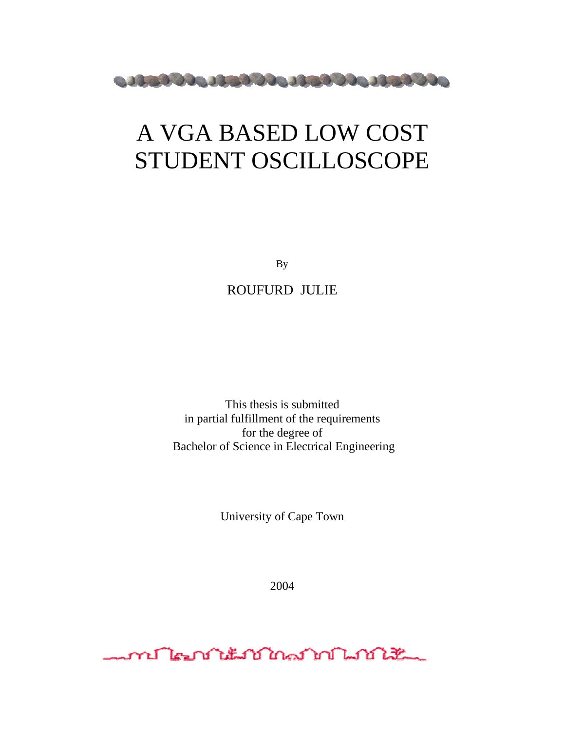

# A VGA BASED LOW COST STUDENT OSCILLOSCOPE

By

ROUFURD JULIE

This thesis is submitted in partial fulfillment of the requirements for the degree of Bachelor of Science in Electrical Engineering

University of Cape Town

2004

<u>word hear the formation of the first very light that the second state of the second state of the second state</u>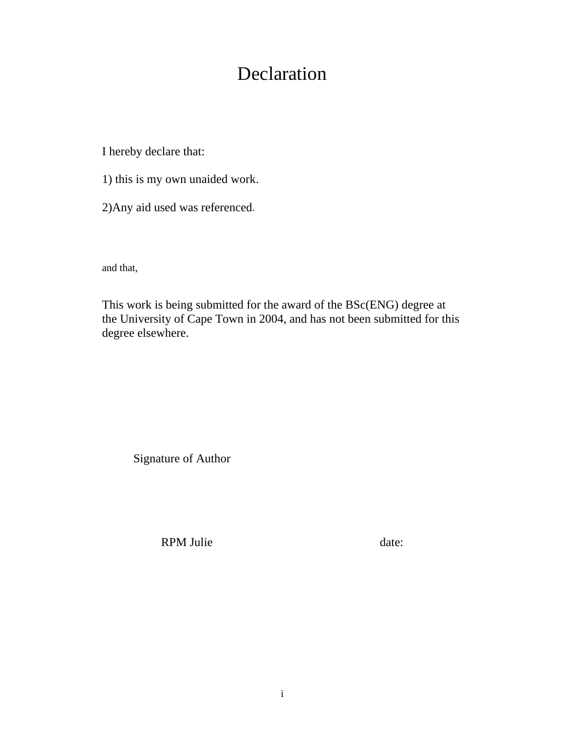## Declaration

I hereby declare that:

1) this is my own unaided work.

2)Any aid used was referenced.

and that,

This work is being submitted for the award of the BSc(ENG) degree at the University of Cape Town in 2004, and has not been submitted for this degree elsewhere.

Signature of Author

RPM Julie date: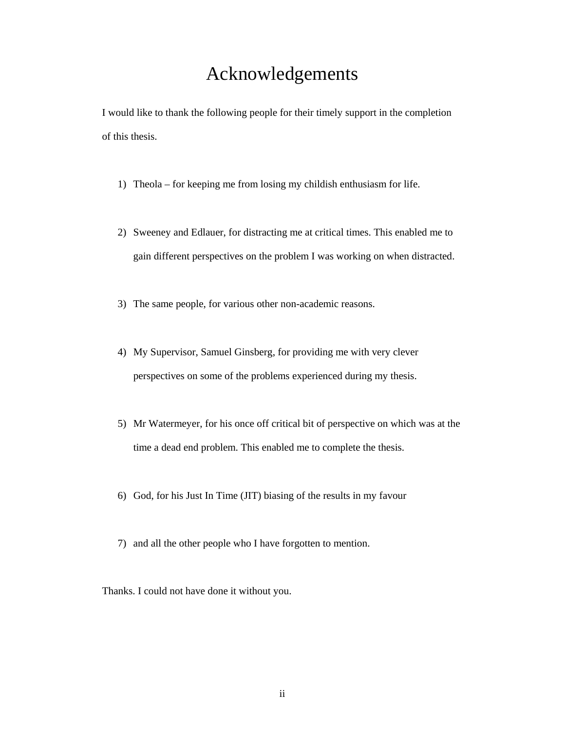## Acknowledgements

I would like to thank the following people for their timely support in the completion of this thesis.

- 1) Theola for keeping me from losing my childish enthusiasm for life.
- 2) Sweeney and Edlauer, for distracting me at critical times. This enabled me to gain different perspectives on the problem I was working on when distracted.
- 3) The same people, for various other non-academic reasons.
- 4) My Supervisor, Samuel Ginsberg, for providing me with very clever perspectives on some of the problems experienced during my thesis.
- 5) Mr Watermeyer, for his once off critical bit of perspective on which was at the time a dead end problem. This enabled me to complete the thesis.
- 6) God, for his Just In Time (JIT) biasing of the results in my favour
- 7) and all the other people who I have forgotten to mention.

Thanks. I could not have done it without you.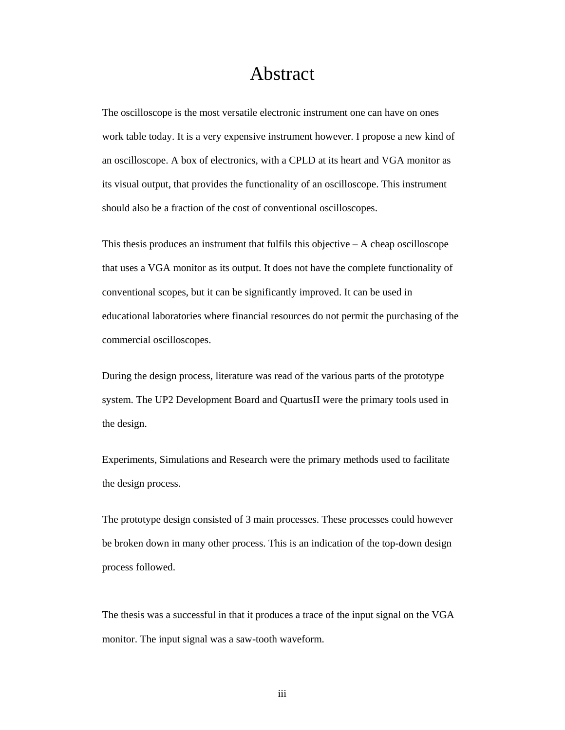## Abstract

The oscilloscope is the most versatile electronic instrument one can have on ones work table today. It is a very expensive instrument however. I propose a new kind of an oscilloscope. A box of electronics, with a CPLD at its heart and VGA monitor as its visual output, that provides the functionality of an oscilloscope. This instrument should also be a fraction of the cost of conventional oscilloscopes.

This thesis produces an instrument that fulfils this objective – A cheap oscilloscope that uses a VGA monitor as its output. It does not have the complete functionality of conventional scopes, but it can be significantly improved. It can be used in educational laboratories where financial resources do not permit the purchasing of the commercial oscilloscopes.

During the design process, literature was read of the various parts of the prototype system. The UP2 Development Board and QuartusII were the primary tools used in the design.

Experiments, Simulations and Research were the primary methods used to facilitate the design process.

The prototype design consisted of 3 main processes. These processes could however be broken down in many other process. This is an indication of the top-down design process followed.

The thesis was a successful in that it produces a trace of the input signal on the VGA monitor. The input signal was a saw-tooth waveform.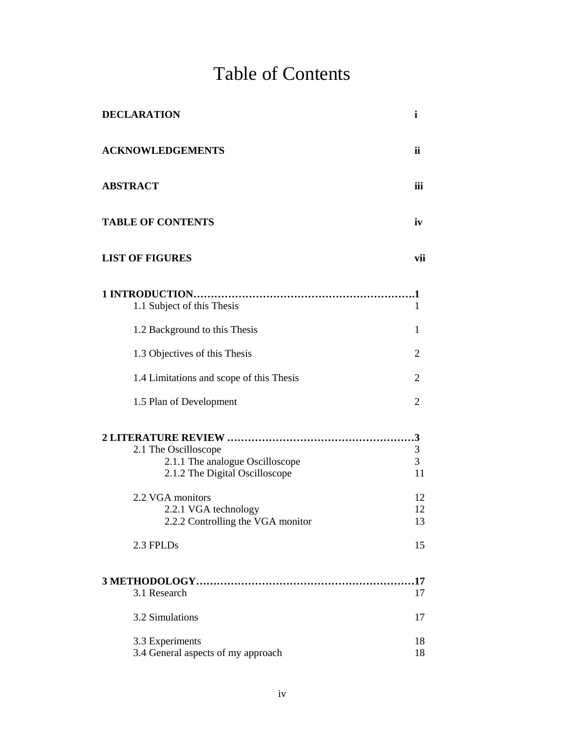# Table of Contents

| <b>DECLARATION</b>                                                                                                                                                         | $\mathbf i$                                 |
|----------------------------------------------------------------------------------------------------------------------------------------------------------------------------|---------------------------------------------|
| <b>ACKNOWLEDGEMENTS</b>                                                                                                                                                    | ii                                          |
| <b>ABSTRACT</b>                                                                                                                                                            | iii                                         |
| <b>TABLE OF CONTENTS</b>                                                                                                                                                   | iv                                          |
| <b>LIST OF FIGURES</b>                                                                                                                                                     | vii                                         |
| 1.1 Subject of this Thesis                                                                                                                                                 | 1                                           |
| 1.2 Background to this Thesis                                                                                                                                              | 1                                           |
| 1.3 Objectives of this Thesis                                                                                                                                              | $\overline{2}$                              |
| 1.4 Limitations and scope of this Thesis                                                                                                                                   | $\overline{2}$                              |
| 1.5 Plan of Development                                                                                                                                                    | $\overline{2}$                              |
| 2.1 The Oscilloscope<br>2.1.1 The analogue Oscilloscope<br>2.1.2 The Digital Oscilloscope<br>2.2 VGA monitors<br>2.2.1 VGA technology<br>2.2.2 Controlling the VGA monitor | $\mathfrak{Z}$<br>3<br>11<br>12<br>12<br>13 |
| 2.3 FPLDs                                                                                                                                                                  | 15                                          |
| 3.1 Research                                                                                                                                                               | 17                                          |
| 3.2 Simulations                                                                                                                                                            | 17                                          |
| 3.3 Experiments<br>3.4 General aspects of my approach                                                                                                                      | 18<br>18                                    |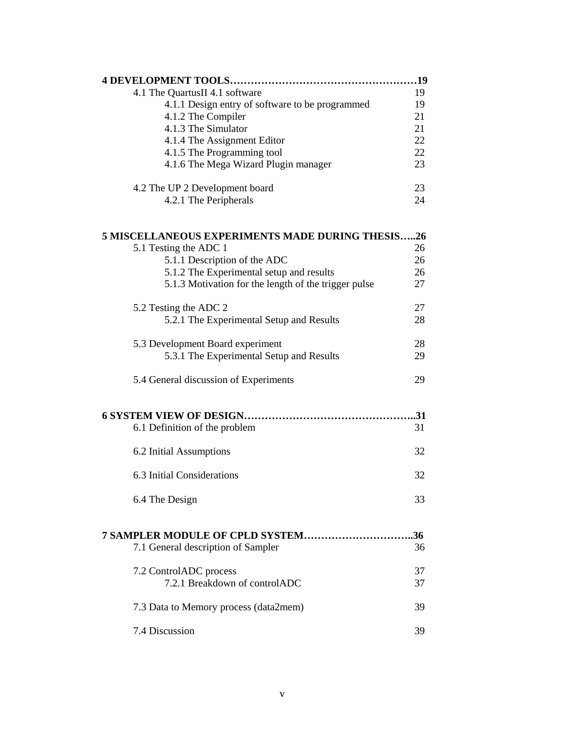| 4.1 The QuartusII 4.1 software                          | 19  |
|---------------------------------------------------------|-----|
| 4.1.1 Design entry of software to be programmed         | 19  |
| 4.1.2 The Compiler                                      | 21  |
| 4.1.3 The Simulator                                     | 21  |
| 4.1.4 The Assignment Editor                             | 22  |
| 4.1.5 The Programming tool                              | 22  |
| 4.1.6 The Mega Wizard Plugin manager                    | 23  |
| 4.2 The UP 2 Development board                          | 23  |
| 4.2.1 The Peripherals                                   | 24  |
| <b>5 MISCELLANEOUS EXPERIMENTS MADE DURING THESIS26</b> |     |
| 5.1 Testing the ADC 1                                   | 26  |
| 5.1.1 Description of the ADC                            | 26  |
|                                                         | 26  |
| 5.1.2 The Experimental setup and results                |     |
| 5.1.3 Motivation for the length of the trigger pulse    | 27  |
| 5.2 Testing the ADC 2                                   | 27  |
| 5.2.1 The Experimental Setup and Results                | 28  |
| 5.3 Development Board experiment                        | 28  |
| 5.3.1 The Experimental Setup and Results                | 29  |
| 5.4 General discussion of Experiments                   | 29  |
|                                                         |     |
| 6.1 Definition of the problem                           | 31  |
| 6.2 Initial Assumptions                                 | 32  |
| 6.3 Initial Considerations                              | 32  |
| 6.4 The Design                                          | 33  |
| 7 SAMPLER MODULE OF CPLD SYSTEM                         | .36 |
| 7.1 General description of Sampler                      | 36  |
| 7.2 ControlADC process                                  | 37  |
| 7.2.1 Breakdown of controlADC                           | 37  |
| 7.3 Data to Memory process (data2mem)                   | 39  |
| 7.4 Discussion                                          | 39  |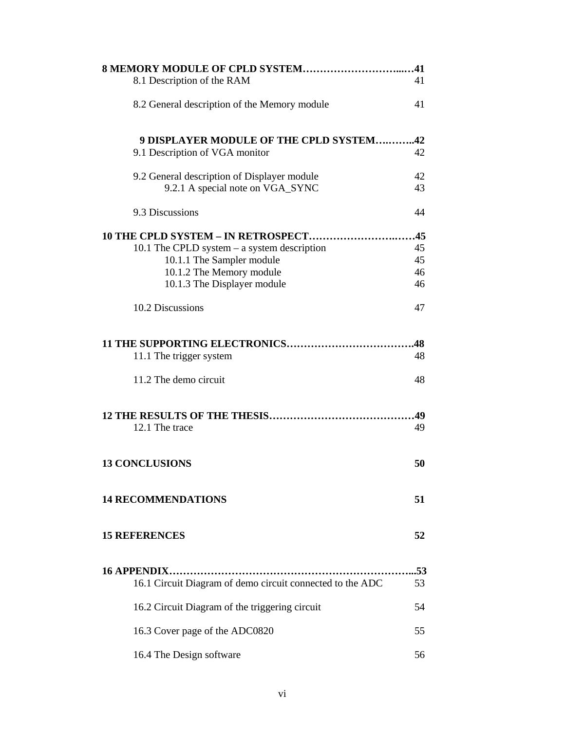| 8.1 Description of the RAM                                                      | 41        |
|---------------------------------------------------------------------------------|-----------|
| 8.2 General description of the Memory module                                    | 41        |
| 9 DISPLAYER MODULE OF THE CPLD SYSTEM42                                         |           |
| 9.1 Description of VGA monitor                                                  | 42        |
| 9.2 General description of Displayer module<br>9.2.1 A special note on VGA_SYNC | 42<br>43  |
| 9.3 Discussions                                                                 | 44        |
| 10 THE CPLD SYSTEM - IN RETROSPECT45                                            |           |
| 10.1 The CPLD system $-$ a system description                                   | 45        |
| 10.1.1 The Sampler module                                                       | 45        |
| 10.1.2 The Memory module                                                        | 46        |
| 10.1.3 The Displayer module                                                     | 46        |
| 10.2 Discussions                                                                | 47        |
|                                                                                 | .48       |
| 11.1 The trigger system                                                         | 48        |
| 11.2 The demo circuit                                                           | 48        |
|                                                                                 |           |
| 12.1 The trace                                                                  | 49        |
| <b>13 CONCLUSIONS</b>                                                           | 50        |
| <b>14 RECOMMENDATIONS</b>                                                       | 51        |
| <b>15 REFERENCES</b>                                                            | 52        |
|                                                                                 |           |
| <b>16 APPENDIX</b><br>16.1 Circuit Diagram of demo circuit connected to the ADC | .53<br>53 |
| 16.2 Circuit Diagram of the triggering circuit                                  | 54        |
| 16.3 Cover page of the ADC0820                                                  | 55        |
| 16.4 The Design software                                                        | 56        |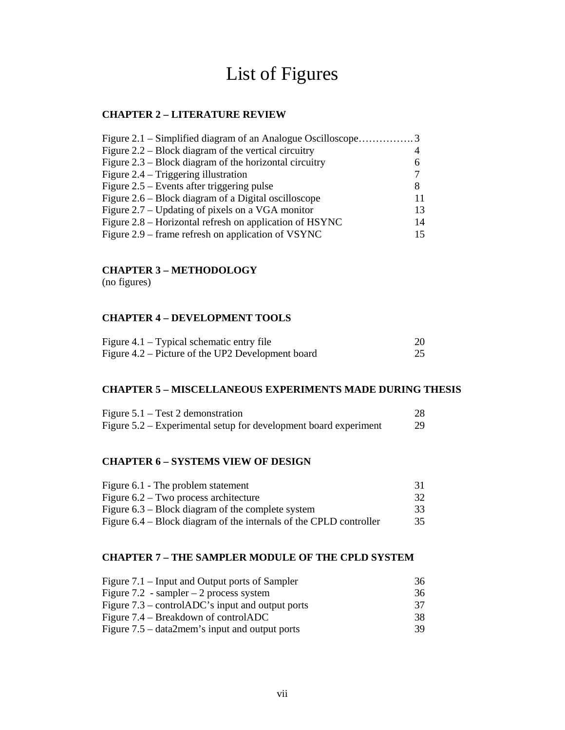## List of Figures

### **CHAPTER 2 – LITERATURE REVIEW**

| Figure 2.1 – Simplified diagram of an Analogue Oscilloscope3 |    |
|--------------------------------------------------------------|----|
| Figure $2.2$ – Block diagram of the vertical circuitry       |    |
| Figure $2.3$ – Block diagram of the horizontal circuitry     | 6  |
| Figure $2.4$ – Triggering illustration                       |    |
| Figure $2.5$ – Events after triggering pulse                 | 8  |
| Figure 2.6 – Block diagram of a Digital oscilloscope         |    |
| Figure 2.7 – Updating of pixels on a VGA monitor             | 13 |
| Figure 2.8 – Horizontal refresh on application of HSYNC      | 14 |
| Figure 2.9 – frame refresh on application of VSYNC           | 15 |
|                                                              |    |

## **CHAPTER 3 – METHODOLOGY**

(no figures)

## **CHAPTER 4 – DEVELOPMENT TOOLS**

| Figure $4.1$ – Typical schematic entry file       |  |
|---------------------------------------------------|--|
| Figure 4.2 – Picture of the UP2 Development board |  |

### **CHAPTER 5 – MISCELLANEOUS EXPERIMENTS MADE DURING THESIS**

| Figure $5.1$ – Test 2 demonstration                              |     |
|------------------------------------------------------------------|-----|
| Figure 5.2 – Experimental setup for development board experiment | 29. |

## **CHAPTER 6 – SYSTEMS VIEW OF DESIGN**

| Figure 6.1 - The problem statement                                 | -31 |
|--------------------------------------------------------------------|-----|
| Figure $6.2$ – Two process architecture                            | 32. |
| Figure $6.3$ – Block diagram of the complete system                | 33  |
| Figure 6.4 – Block diagram of the internals of the CPLD controller | 35  |

## **CHAPTER 7 – THE SAMPLER MODULE OF THE CPLD SYSTEM**

| Figure 7.1 – Input and Output ports of Sampler     | 36  |
|----------------------------------------------------|-----|
| Figure 7.2 - sampler $-2$ process system           | 36  |
| Figure $7.3$ – controlADC's input and output ports | 37  |
| Figure 7.4 – Breakdown of controlADC               | 38  |
| Figure $7.5 - data2$ mem's input and output ports  | 39. |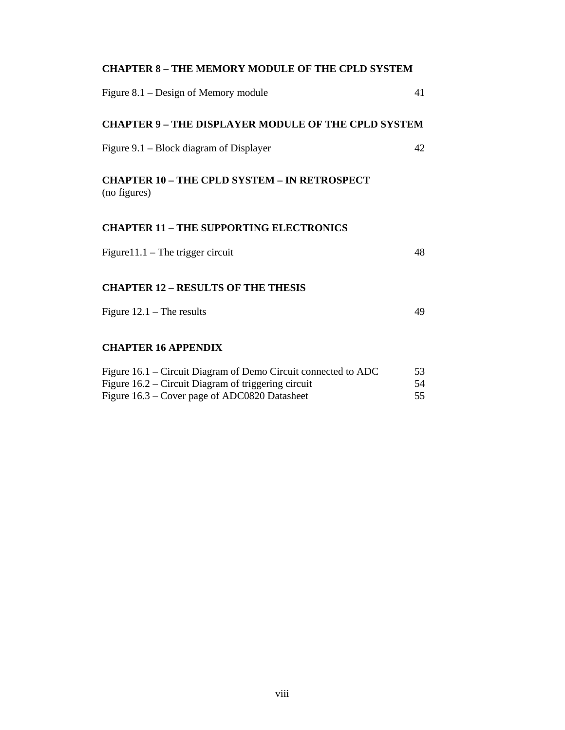| <b>CHAPTER 8 - THE MEMORY MODULE OF THE CPLD SYSTEM</b>                                              |          |
|------------------------------------------------------------------------------------------------------|----------|
| Figure $8.1$ – Design of Memory module                                                               | 41       |
| <b>CHAPTER 9 - THE DISPLAYER MODULE OF THE CPLD SYSTEM</b>                                           |          |
| Figure 9.1 – Block diagram of Displayer                                                              | 42       |
| <b>CHAPTER 10 - THE CPLD SYSTEM - IN RETROSPECT</b><br>(no figures)                                  |          |
| <b>CHAPTER 11 - THE SUPPORTING ELECTRONICS</b>                                                       |          |
| Figure $11.1$ – The trigger circuit                                                                  | 48       |
| <b>CHAPTER 12 - RESULTS OF THE THESIS</b>                                                            |          |
| Figure $12.1$ – The results                                                                          | 49       |
| <b>CHAPTER 16 APPENDIX</b>                                                                           |          |
| Figure 16.1 – Circuit Diagram of Demo Circuit connected to ADC                                       | 53       |
| Figure 16.2 – Circuit Diagram of triggering circuit<br>Figure 16.3 – Cover page of ADC0820 Datasheet | 54<br>55 |
|                                                                                                      |          |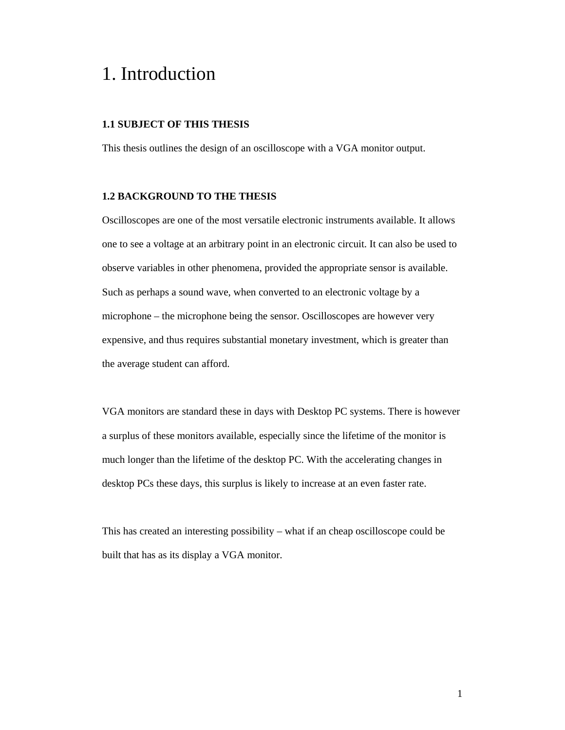## 1. Introduction

## **1.1 SUBJECT OF THIS THESIS**

This thesis outlines the design of an oscilloscope with a VGA monitor output.

### **1.2 BACKGROUND TO THE THESIS**

Oscilloscopes are one of the most versatile electronic instruments available. It allows one to see a voltage at an arbitrary point in an electronic circuit. It can also be used to observe variables in other phenomena, provided the appropriate sensor is available. Such as perhaps a sound wave, when converted to an electronic voltage by a microphone – the microphone being the sensor. Oscilloscopes are however very expensive, and thus requires substantial monetary investment, which is greater than the average student can afford.

VGA monitors are standard these in days with Desktop PC systems. There is however a surplus of these monitors available, especially since the lifetime of the monitor is much longer than the lifetime of the desktop PC. With the accelerating changes in desktop PCs these days, this surplus is likely to increase at an even faster rate.

This has created an interesting possibility – what if an cheap oscilloscope could be built that has as its display a VGA monitor.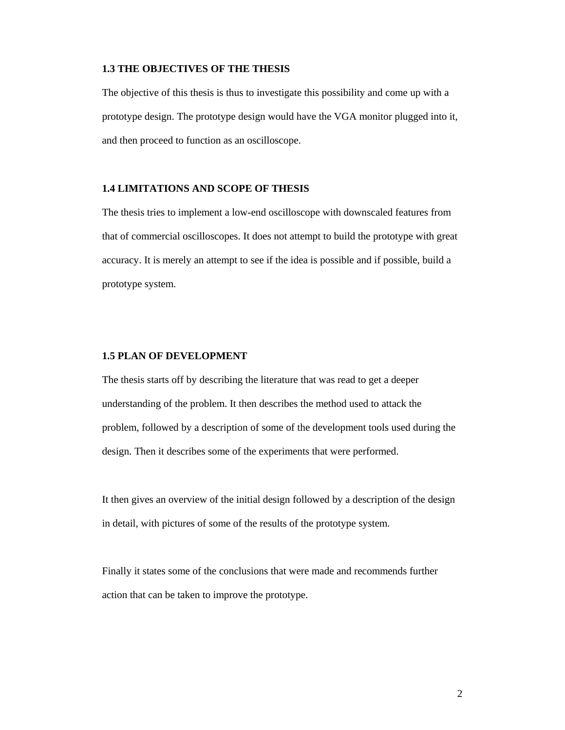#### **1.3 THE OBJECTIVES OF THE THESIS**

The objective of this thesis is thus to investigate this possibility and come up with a prototype design. The prototype design would have the VGA monitor plugged into it, and then proceed to function as an oscilloscope.

### **1.4 LIMITATIONS AND SCOPE OF THESIS**

The thesis tries to implement a low-end oscilloscope with downscaled features from that of commercial oscilloscopes. It does not attempt to build the prototype with great accuracy. It is merely an attempt to see if the idea is possible and if possible, build a prototype system.

### **1.5 PLAN OF DEVELOPMENT**

The thesis starts off by describing the literature that was read to get a deeper understanding of the problem. It then describes the method used to attack the problem, followed by a description of some of the development tools used during the design. Then it describes some of the experiments that were performed.

It then gives an overview of the initial design followed by a description of the design in detail, with pictures of some of the results of the prototype system.

Finally it states some of the conclusions that were made and recommends further action that can be taken to improve the prototype.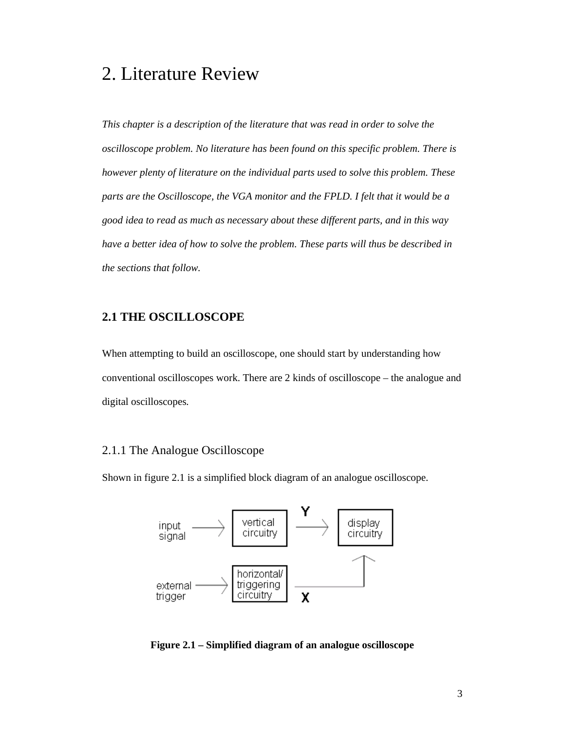## 2. Literature Review

*This chapter is a description of the literature that was read in order to solve the oscilloscope problem. No literature has been found on this specific problem. There is however plenty of literature on the individual parts used to solve this problem. These parts are the Oscilloscope, the VGA monitor and the FPLD. I felt that it would be a good idea to read as much as necessary about these different parts, and in this way have a better idea of how to solve the problem. These parts will thus be described in the sections that follow.* 

## **2.1 THE OSCILLOSCOPE**

When attempting to build an oscilloscope, one should start by understanding how conventional oscilloscopes work. There are 2 kinds of oscilloscope – the analogue and digital oscilloscopes*.* 

## 2.1.1 The Analogue Oscilloscope

Shown in figure 2.1 is a simplified block diagram of an analogue oscilloscope.



**Figure 2.1 – Simplified diagram of an analogue oscilloscope**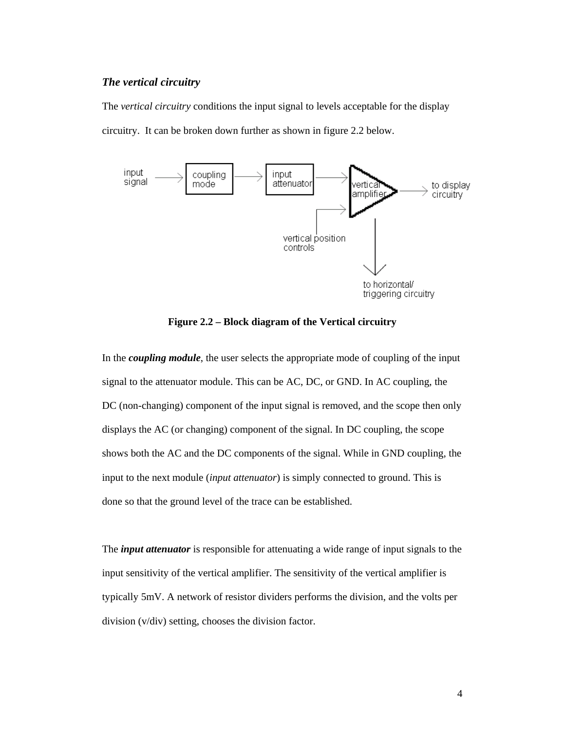## *The vertical circuitry*

The *vertical circuitry* conditions the input signal to levels acceptable for the display circuitry. It can be broken down further as shown in figure 2.2 below.



**Figure 2.2 – Block diagram of the Vertical circuitry** 

In the *coupling module*, the user selects the appropriate mode of coupling of the input signal to the attenuator module. This can be AC, DC, or GND. In AC coupling, the DC (non-changing) component of the input signal is removed, and the scope then only displays the AC (or changing) component of the signal. In DC coupling, the scope shows both the AC and the DC components of the signal. While in GND coupling, the input to the next module (*input attenuator*) is simply connected to ground. This is done so that the ground level of the trace can be established.

The *input attenuator* is responsible for attenuating a wide range of input signals to the input sensitivity of the vertical amplifier. The sensitivity of the vertical amplifier is typically 5mV. A network of resistor dividers performs the division, and the volts per division (v/div) setting, chooses the division factor.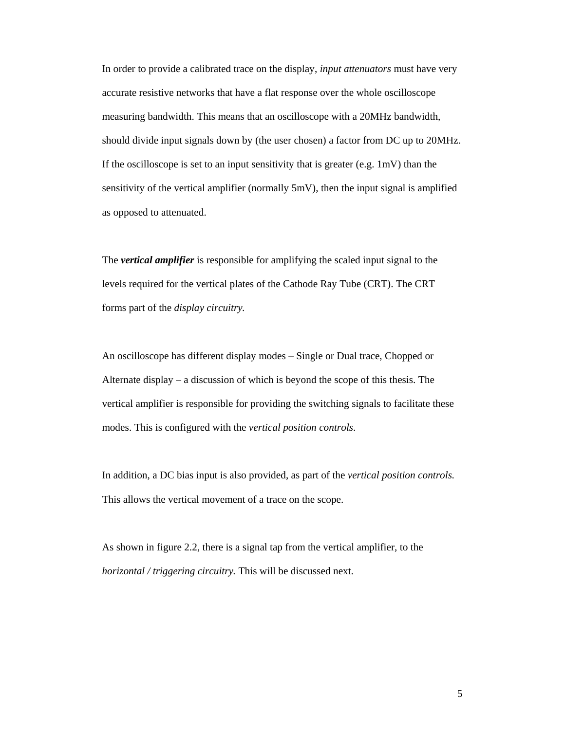In order to provide a calibrated trace on the display, *input attenuators* must have very accurate resistive networks that have a flat response over the whole oscilloscope measuring bandwidth. This means that an oscilloscope with a 20MHz bandwidth, should divide input signals down by (the user chosen) a factor from DC up to 20MHz. If the oscilloscope is set to an input sensitivity that is greater (e.g.  $1\,\text{mV}$ ) than the sensitivity of the vertical amplifier (normally 5mV), then the input signal is amplified as opposed to attenuated.

The *vertical amplifier* is responsible for amplifying the scaled input signal to the levels required for the vertical plates of the Cathode Ray Tube (CRT). The CRT forms part of the *display circuitry.* 

An oscilloscope has different display modes – Single or Dual trace, Chopped or Alternate display – a discussion of which is beyond the scope of this thesis. The vertical amplifier is responsible for providing the switching signals to facilitate these modes. This is configured with the *vertical position controls*.

In addition, a DC bias input is also provided, as part of the *vertical position controls.* This allows the vertical movement of a trace on the scope.

As shown in figure 2.2, there is a signal tap from the vertical amplifier, to the *horizontal / triggering circuitry.* This will be discussed next.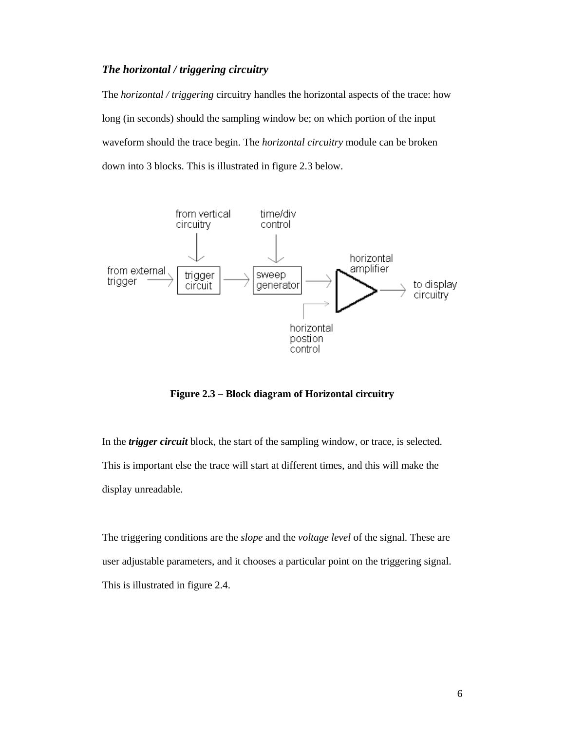## *The horizontal / triggering circuitry*

The *horizontal / triggering* circuitry handles the horizontal aspects of the trace: how long (in seconds) should the sampling window be; on which portion of the input waveform should the trace begin. The *horizontal circuitry* module can be broken down into 3 blocks. This is illustrated in figure 2.3 below.



**Figure 2.3 – Block diagram of Horizontal circuitry** 

In the *trigger circuit* block, the start of the sampling window, or trace, is selected. This is important else the trace will start at different times, and this will make the display unreadable.

The triggering conditions are the *slope* and the *voltage level* of the signal. These are user adjustable parameters, and it chooses a particular point on the triggering signal. This is illustrated in figure 2.4.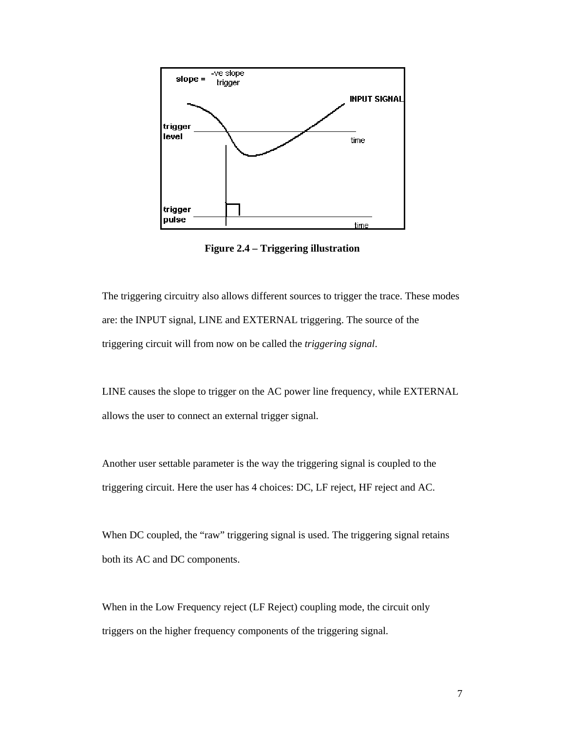

**Figure 2.4 – Triggering illustration** 

The triggering circuitry also allows different sources to trigger the trace. These modes are: the INPUT signal, LINE and EXTERNAL triggering. The source of the triggering circuit will from now on be called the *triggering signal*.

LINE causes the slope to trigger on the AC power line frequency, while EXTERNAL allows the user to connect an external trigger signal.

Another user settable parameter is the way the triggering signal is coupled to the triggering circuit. Here the user has 4 choices: DC, LF reject, HF reject and AC.

When DC coupled, the "raw" triggering signal is used. The triggering signal retains both its AC and DC components.

When in the Low Frequency reject (LF Reject) coupling mode, the circuit only triggers on the higher frequency components of the triggering signal.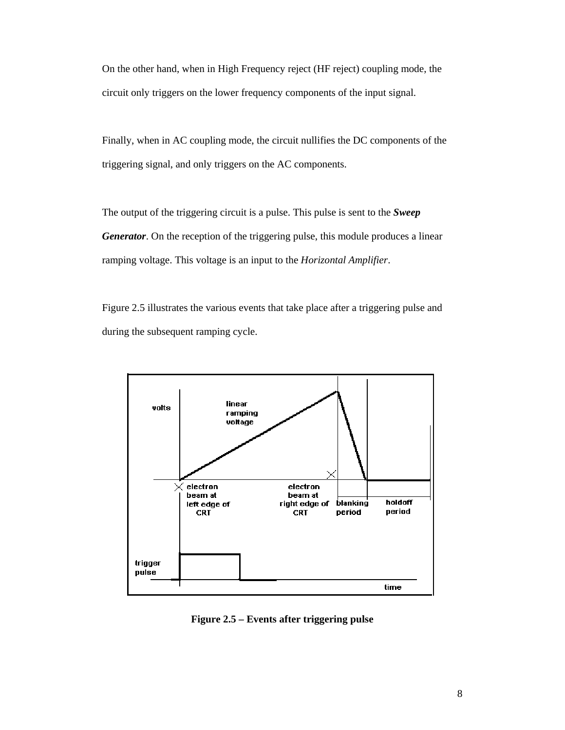On the other hand, when in High Frequency reject (HF reject) coupling mode, the circuit only triggers on the lower frequency components of the input signal.

Finally, when in AC coupling mode, the circuit nullifies the DC components of the triggering signal, and only triggers on the AC components.

The output of the triggering circuit is a pulse. This pulse is sent to the *Sweep Generator*. On the reception of the triggering pulse, this module produces a linear ramping voltage. This voltage is an input to the *Horizontal Amplifier*.

Figure 2.5 illustrates the various events that take place after a triggering pulse and during the subsequent ramping cycle.



**Figure 2.5 – Events after triggering pulse**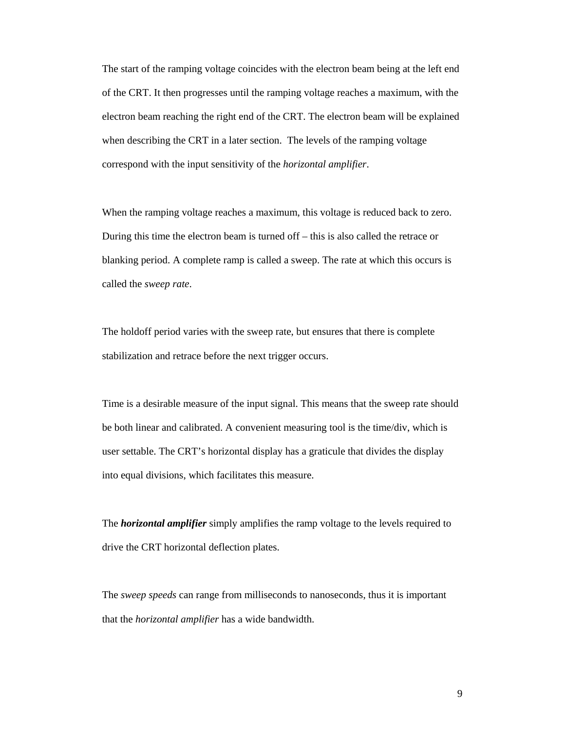The start of the ramping voltage coincides with the electron beam being at the left end of the CRT. It then progresses until the ramping voltage reaches a maximum, with the electron beam reaching the right end of the CRT. The electron beam will be explained when describing the CRT in a later section. The levels of the ramping voltage correspond with the input sensitivity of the *horizontal amplifier*.

When the ramping voltage reaches a maximum, this voltage is reduced back to zero. During this time the electron beam is turned off – this is also called the retrace or blanking period. A complete ramp is called a sweep. The rate at which this occurs is called the *sweep rate*.

The holdoff period varies with the sweep rate, but ensures that there is complete stabilization and retrace before the next trigger occurs.

Time is a desirable measure of the input signal. This means that the sweep rate should be both linear and calibrated. A convenient measuring tool is the time/div, which is user settable. The CRT's horizontal display has a graticule that divides the display into equal divisions, which facilitates this measure.

The *horizontal amplifier* simply amplifies the ramp voltage to the levels required to drive the CRT horizontal deflection plates.

The *sweep speeds* can range from milliseconds to nanoseconds, thus it is important that the *horizontal amplifier* has a wide bandwidth.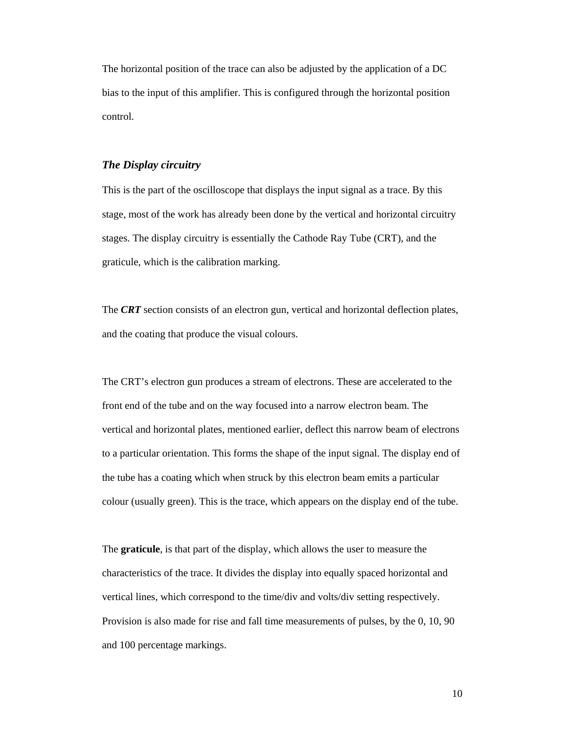The horizontal position of the trace can also be adjusted by the application of a DC bias to the input of this amplifier. This is configured through the horizontal position control.

#### *The Display circuitry*

This is the part of the oscilloscope that displays the input signal as a trace. By this stage, most of the work has already been done by the vertical and horizontal circuitry stages. The display circuitry is essentially the Cathode Ray Tube (CRT), and the graticule, which is the calibration marking.

The *CRT* section consists of an electron gun, vertical and horizontal deflection plates, and the coating that produce the visual colours.

The CRT's electron gun produces a stream of electrons. These are accelerated to the front end of the tube and on the way focused into a narrow electron beam. The vertical and horizontal plates, mentioned earlier, deflect this narrow beam of electrons to a particular orientation. This forms the shape of the input signal. The display end of the tube has a coating which when struck by this electron beam emits a particular colour (usually green). This is the trace, which appears on the display end of the tube.

The **graticule**, is that part of the display, which allows the user to measure the characteristics of the trace. It divides the display into equally spaced horizontal and vertical lines, which correspond to the time/div and volts/div setting respectively. Provision is also made for rise and fall time measurements of pulses, by the 0, 10, 90 and 100 percentage markings.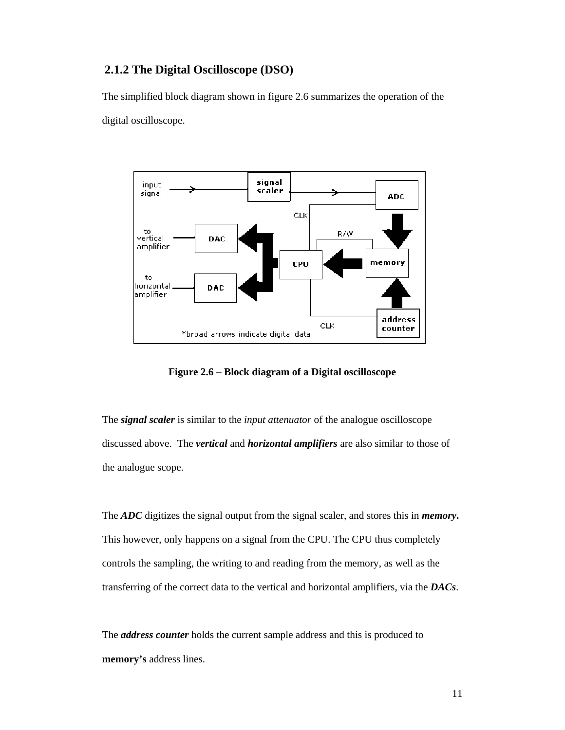## **2.1.2 The Digital Oscilloscope (DSO)**

The simplified block diagram shown in figure 2.6 summarizes the operation of the digital oscilloscope.



**Figure 2.6 – Block diagram of a Digital oscilloscope** 

The *signal scaler* is similar to the *input attenuator* of the analogue oscilloscope discussed above. The *vertical* and *horizontal amplifiers* are also similar to those of the analogue scope.

The *ADC* digitizes the signal output from the signal scaler, and stores this in *memory***.**  This however, only happens on a signal from the CPU. The CPU thus completely controls the sampling, the writing to and reading from the memory, as well as the transferring of the correct data to the vertical and horizontal amplifiers, via the *DACs*.

The *address counter* holds the current sample address and this is produced to **memory's** address lines.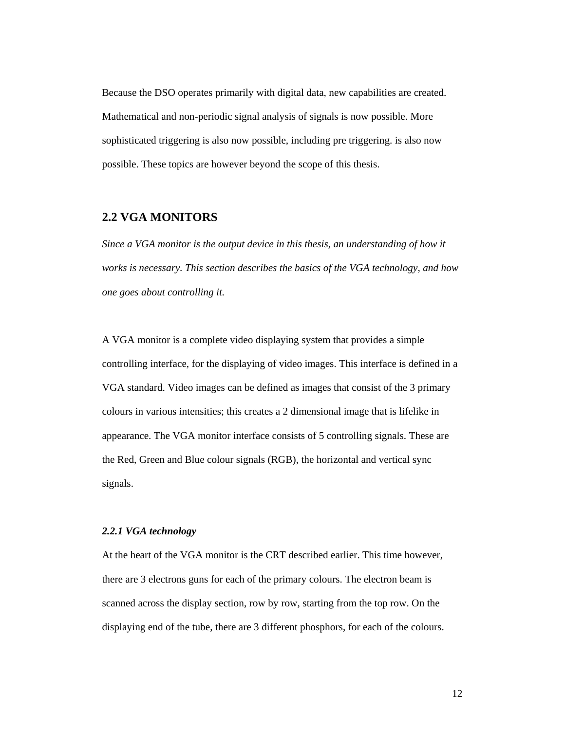Because the DSO operates primarily with digital data, new capabilities are created. Mathematical and non-periodic signal analysis of signals is now possible. More sophisticated triggering is also now possible, including pre triggering. is also now possible. These topics are however beyond the scope of this thesis.

## **2.2 VGA MONITORS**

*Since a VGA monitor is the output device in this thesis, an understanding of how it works is necessary. This section describes the basics of the VGA technology, and how one goes about controlling it.* 

A VGA monitor is a complete video displaying system that provides a simple controlling interface, for the displaying of video images. This interface is defined in a VGA standard. Video images can be defined as images that consist of the 3 primary colours in various intensities; this creates a 2 dimensional image that is lifelike in appearance. The VGA monitor interface consists of 5 controlling signals. These are the Red, Green and Blue colour signals (RGB), the horizontal and vertical sync signals.

## *2.2.1 VGA technology*

At the heart of the VGA monitor is the CRT described earlier. This time however, there are 3 electrons guns for each of the primary colours. The electron beam is scanned across the display section, row by row, starting from the top row. On the displaying end of the tube, there are 3 different phosphors, for each of the colours.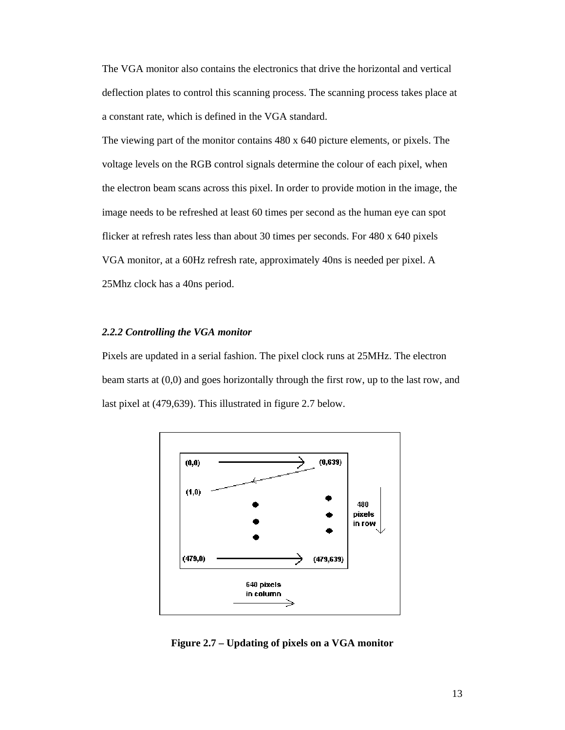The VGA monitor also contains the electronics that drive the horizontal and vertical deflection plates to control this scanning process. The scanning process takes place at a constant rate, which is defined in the VGA standard.

The viewing part of the monitor contains 480 x 640 picture elements, or pixels. The voltage levels on the RGB control signals determine the colour of each pixel, when the electron beam scans across this pixel. In order to provide motion in the image, the image needs to be refreshed at least 60 times per second as the human eye can spot flicker at refresh rates less than about 30 times per seconds. For 480 x 640 pixels VGA monitor, at a 60Hz refresh rate, approximately 40ns is needed per pixel. A 25Mhz clock has a 40ns period.

#### *2.2.2 Controlling the VGA monitor*

Pixels are updated in a serial fashion. The pixel clock runs at 25MHz. The electron beam starts at (0,0) and goes horizontally through the first row, up to the last row, and last pixel at (479,639). This illustrated in figure 2.7 below.



**Figure 2.7 – Updating of pixels on a VGA monitor**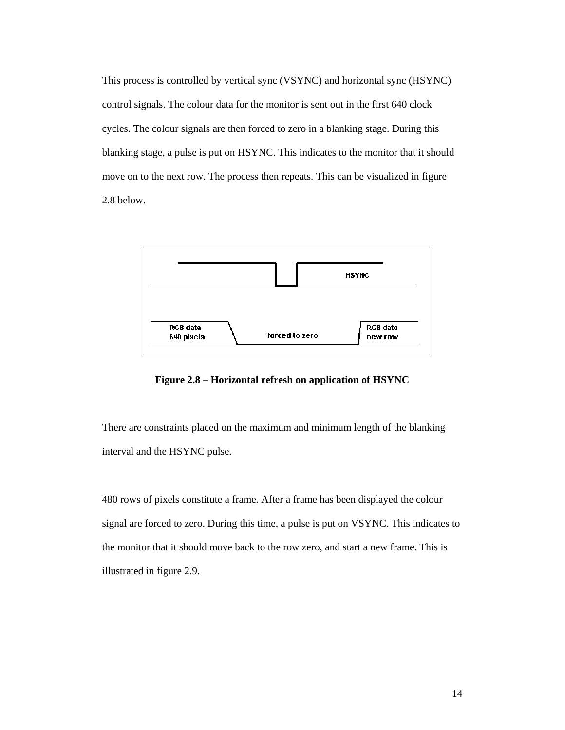This process is controlled by vertical sync (VSYNC) and horizontal sync (HSYNC) control signals. The colour data for the monitor is sent out in the first 640 clock cycles. The colour signals are then forced to zero in a blanking stage. During this blanking stage, a pulse is put on HSYNC. This indicates to the monitor that it should move on to the next row. The process then repeats. This can be visualized in figure 2.8 below.



**Figure 2.8 – Horizontal refresh on application of HSYNC** 

There are constraints placed on the maximum and minimum length of the blanking interval and the HSYNC pulse.

480 rows of pixels constitute a frame. After a frame has been displayed the colour signal are forced to zero. During this time, a pulse is put on VSYNC. This indicates to the monitor that it should move back to the row zero, and start a new frame. This is illustrated in figure 2.9.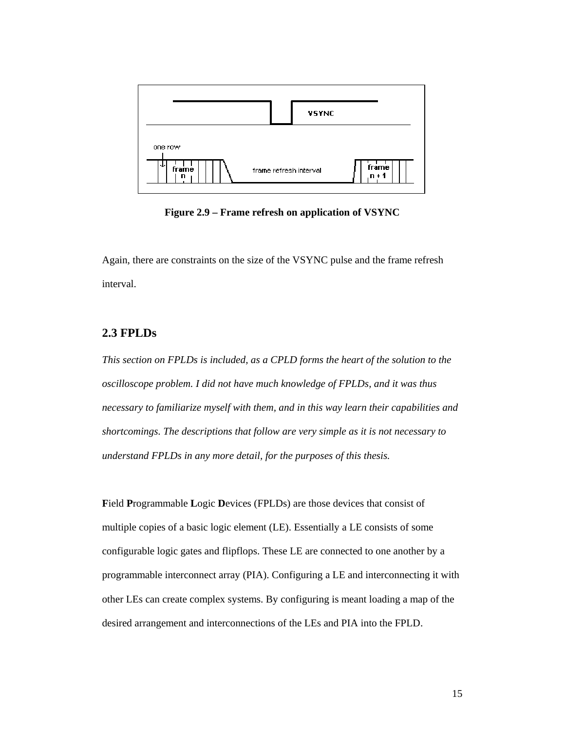

**Figure 2.9 – Frame refresh on application of VSYNC** 

Again, there are constraints on the size of the VSYNC pulse and the frame refresh interval.

## **2.3 FPLDs**

*This section on FPLDs is included, as a CPLD forms the heart of the solution to the oscilloscope problem. I did not have much knowledge of FPLDs, and it was thus necessary to familiarize myself with them, and in this way learn their capabilities and shortcomings. The descriptions that follow are very simple as it is not necessary to understand FPLDs in any more detail, for the purposes of this thesis.* 

**F**ield **P**rogrammable **L**ogic **D**evices (FPLDs) are those devices that consist of multiple copies of a basic logic element (LE). Essentially a LE consists of some configurable logic gates and flipflops. These LE are connected to one another by a programmable interconnect array (PIA). Configuring a LE and interconnecting it with other LEs can create complex systems. By configuring is meant loading a map of the desired arrangement and interconnections of the LEs and PIA into the FPLD.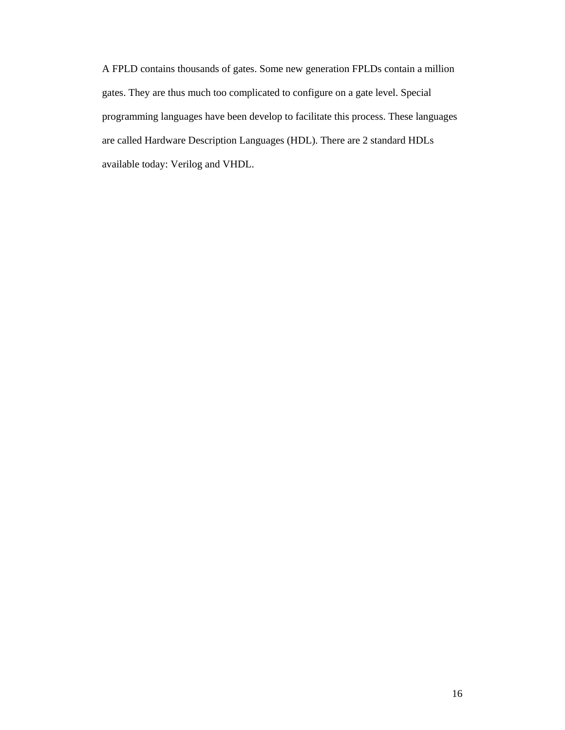A FPLD contains thousands of gates. Some new generation FPLDs contain a million gates. They are thus much too complicated to configure on a gate level. Special programming languages have been develop to facilitate this process. These languages are called Hardware Description Languages (HDL). There are 2 standard HDLs available today: Verilog and VHDL.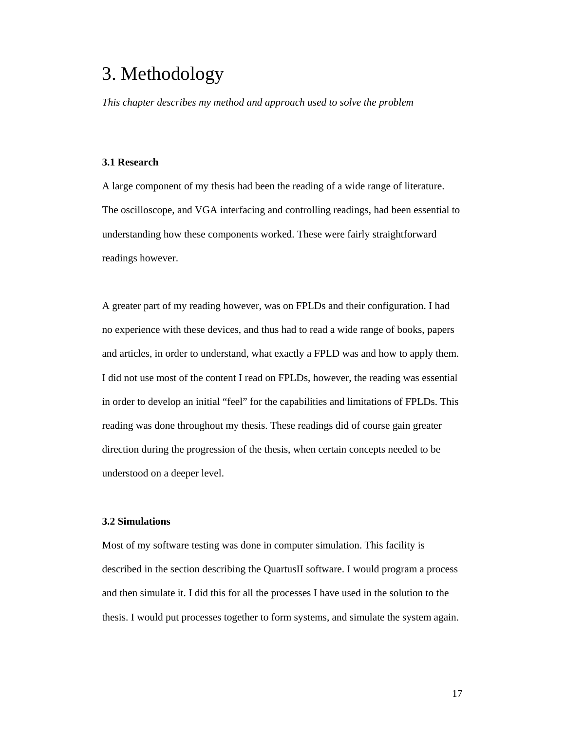## 3. Methodology

*This chapter describes my method and approach used to solve the problem* 

## **3.1 Research**

A large component of my thesis had been the reading of a wide range of literature. The oscilloscope, and VGA interfacing and controlling readings, had been essential to understanding how these components worked. These were fairly straightforward readings however.

A greater part of my reading however, was on FPLDs and their configuration. I had no experience with these devices, and thus had to read a wide range of books, papers and articles, in order to understand, what exactly a FPLD was and how to apply them. I did not use most of the content I read on FPLDs, however, the reading was essential in order to develop an initial "feel" for the capabilities and limitations of FPLDs. This reading was done throughout my thesis. These readings did of course gain greater direction during the progression of the thesis, when certain concepts needed to be understood on a deeper level.

### **3.2 Simulations**

Most of my software testing was done in computer simulation. This facility is described in the section describing the QuartusII software. I would program a process and then simulate it. I did this for all the processes I have used in the solution to the thesis. I would put processes together to form systems, and simulate the system again.

17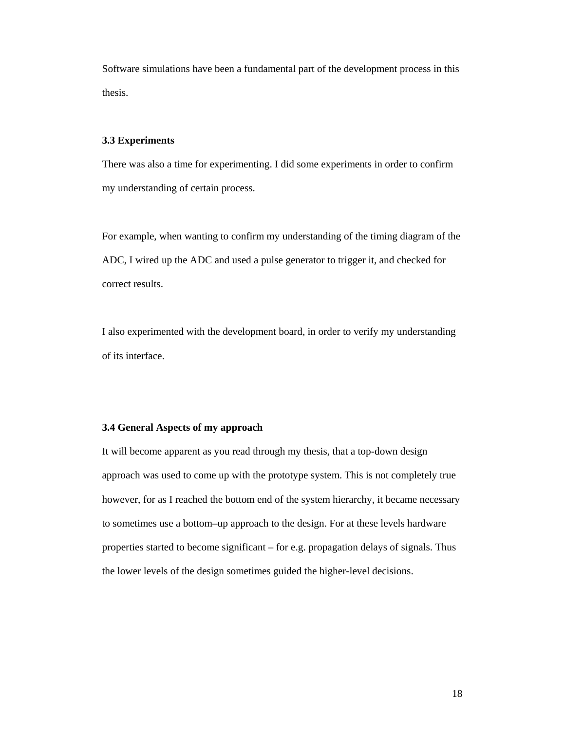Software simulations have been a fundamental part of the development process in this thesis.

#### **3.3 Experiments**

There was also a time for experimenting. I did some experiments in order to confirm my understanding of certain process.

For example, when wanting to confirm my understanding of the timing diagram of the ADC, I wired up the ADC and used a pulse generator to trigger it, and checked for correct results.

I also experimented with the development board, in order to verify my understanding of its interface.

#### **3.4 General Aspects of my approach**

It will become apparent as you read through my thesis, that a top-down design approach was used to come up with the prototype system. This is not completely true however, for as I reached the bottom end of the system hierarchy, it became necessary to sometimes use a bottom–up approach to the design. For at these levels hardware properties started to become significant – for e.g. propagation delays of signals. Thus the lower levels of the design sometimes guided the higher-level decisions.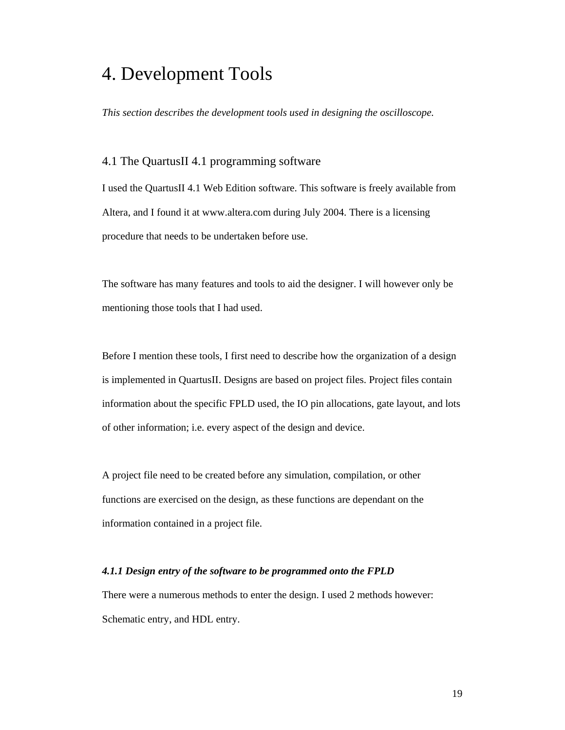## 4. Development Tools

*This section describes the development tools used in designing the oscilloscope.* 

## 4.1 The QuartusII 4.1 programming software

I used the QuartusII 4.1 Web Edition software. This software is freely available from Altera, and I found it at www.altera.com during July 2004. There is a licensing procedure that needs to be undertaken before use.

The software has many features and tools to aid the designer. I will however only be mentioning those tools that I had used.

Before I mention these tools, I first need to describe how the organization of a design is implemented in QuartusII. Designs are based on project files. Project files contain information about the specific FPLD used, the IO pin allocations, gate layout, and lots of other information; i.e. every aspect of the design and device.

A project file need to be created before any simulation, compilation, or other functions are exercised on the design, as these functions are dependant on the information contained in a project file.

#### *4.1.1 Design entry of the software to be programmed onto the FPLD*

There were a numerous methods to enter the design. I used 2 methods however: Schematic entry, and HDL entry.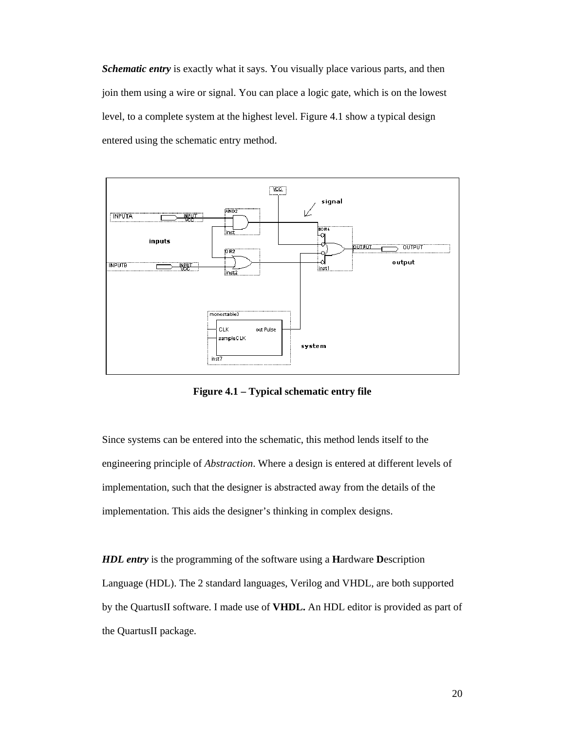*Schematic entry* is exactly what it says. You visually place various parts, and then join them using a wire or signal. You can place a logic gate, which is on the lowest level, to a complete system at the highest level. Figure 4.1 show a typical design entered using the schematic entry method.



**Figure 4.1 – Typical schematic entry file** 

Since systems can be entered into the schematic, this method lends itself to the engineering principle of *Abstraction*. Where a design is entered at different levels of implementation, such that the designer is abstracted away from the details of the implementation. This aids the designer's thinking in complex designs.

*HDL entry* is the programming of the software using a **H**ardware **D**escription Language (HDL). The 2 standard languages, Verilog and VHDL, are both supported by the QuartusII software. I made use of **VHDL.** An HDL editor is provided as part of the QuartusII package.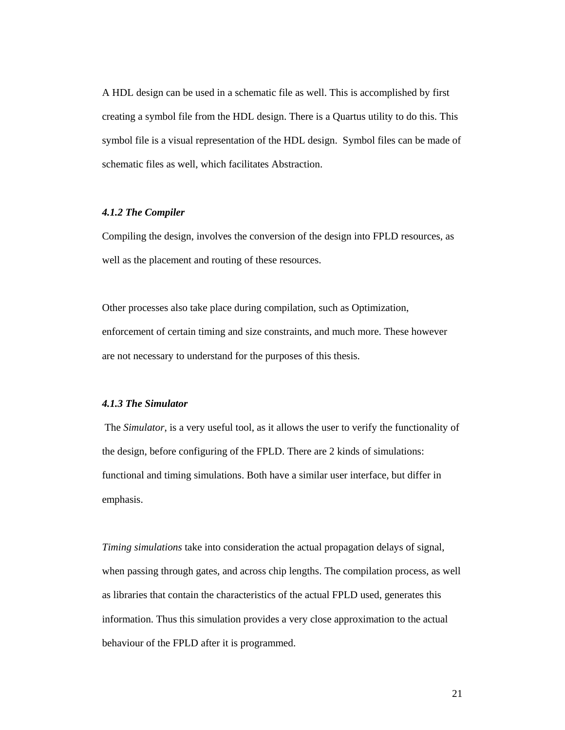A HDL design can be used in a schematic file as well. This is accomplished by first creating a symbol file from the HDL design. There is a Quartus utility to do this. This symbol file is a visual representation of the HDL design. Symbol files can be made of schematic files as well, which facilitates Abstraction.

#### *4.1.2 The Compiler*

Compiling the design, involves the conversion of the design into FPLD resources, as well as the placement and routing of these resources.

Other processes also take place during compilation, such as Optimization, enforcement of certain timing and size constraints, and much more. These however are not necessary to understand for the purposes of this thesis.

#### *4.1.3 The Simulator*

 The *Simulator*, is a very useful tool, as it allows the user to verify the functionality of the design, before configuring of the FPLD. There are 2 kinds of simulations: functional and timing simulations. Both have a similar user interface, but differ in emphasis.

*Timing simulations* take into consideration the actual propagation delays of signal, when passing through gates, and across chip lengths. The compilation process, as well as libraries that contain the characteristics of the actual FPLD used, generates this information. Thus this simulation provides a very close approximation to the actual behaviour of the FPLD after it is programmed.

21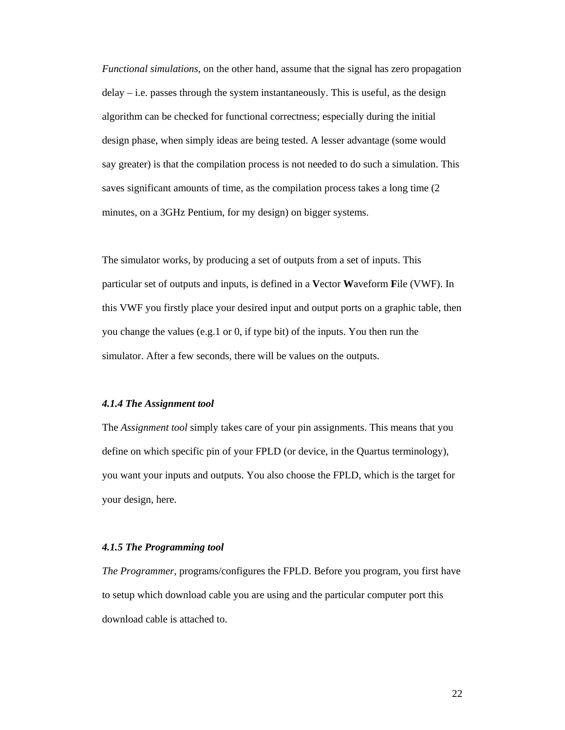*Functional simulations,* on the other hand, assume that the signal has zero propagation delay – i.e. passes through the system instantaneously. This is useful, as the design algorithm can be checked for functional correctness; especially during the initial design phase, when simply ideas are being tested. A lesser advantage (some would say greater) is that the compilation process is not needed to do such a simulation. This saves significant amounts of time, as the compilation process takes a long time (2 minutes, on a 3GHz Pentium, for my design) on bigger systems.

The simulator works, by producing a set of outputs from a set of inputs. This particular set of outputs and inputs, is defined in a **V**ector **W**aveform **F**ile (VWF). In this VWF you firstly place your desired input and output ports on a graphic table, then you change the values (e.g.1 or 0, if type bit) of the inputs. You then run the simulator. After a few seconds, there will be values on the outputs.

#### *4.1.4 The Assignment tool*

The *Assignment tool* simply takes care of your pin assignments. This means that you define on which specific pin of your FPLD (or device, in the Quartus terminology), you want your inputs and outputs. You also choose the FPLD, which is the target for your design, here.

#### *4.1.5 The Programming tool*

*The Programmer*, programs/configures the FPLD. Before you program, you first have to setup which download cable you are using and the particular computer port this download cable is attached to.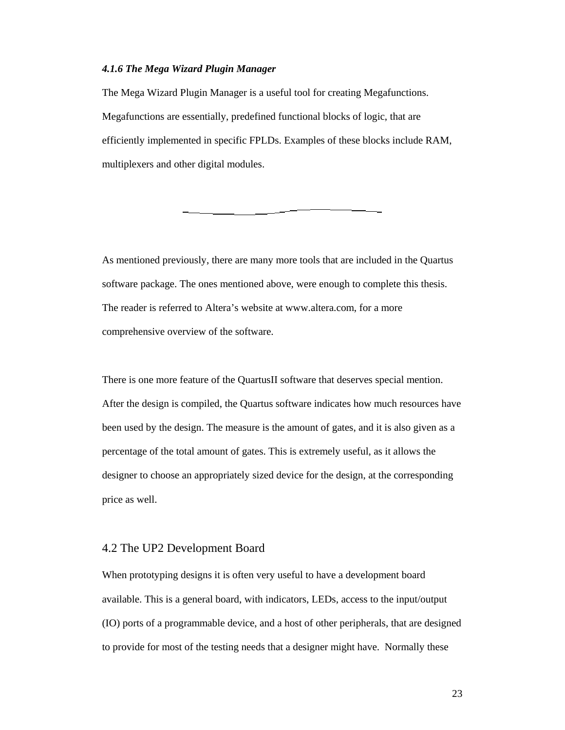#### *4.1.6 The Mega Wizard Plugin Manager*

The Mega Wizard Plugin Manager is a useful tool for creating Megafunctions. Megafunctions are essentially, predefined functional blocks of logic, that are efficiently implemented in specific FPLDs. Examples of these blocks include RAM, multiplexers and other digital modules.

As mentioned previously, there are many more tools that are included in the Quartus software package. The ones mentioned above, were enough to complete this thesis. The reader is referred to Altera's website at www.altera.com, for a more comprehensive overview of the software.

There is one more feature of the QuartusII software that deserves special mention. After the design is compiled, the Quartus software indicates how much resources have been used by the design. The measure is the amount of gates, and it is also given as a percentage of the total amount of gates. This is extremely useful, as it allows the designer to choose an appropriately sized device for the design, at the corresponding price as well.

## 4.2 The UP2 Development Board

When prototyping designs it is often very useful to have a development board available. This is a general board, with indicators, LEDs, access to the input/output (IO) ports of a programmable device, and a host of other peripherals, that are designed to provide for most of the testing needs that a designer might have. Normally these

23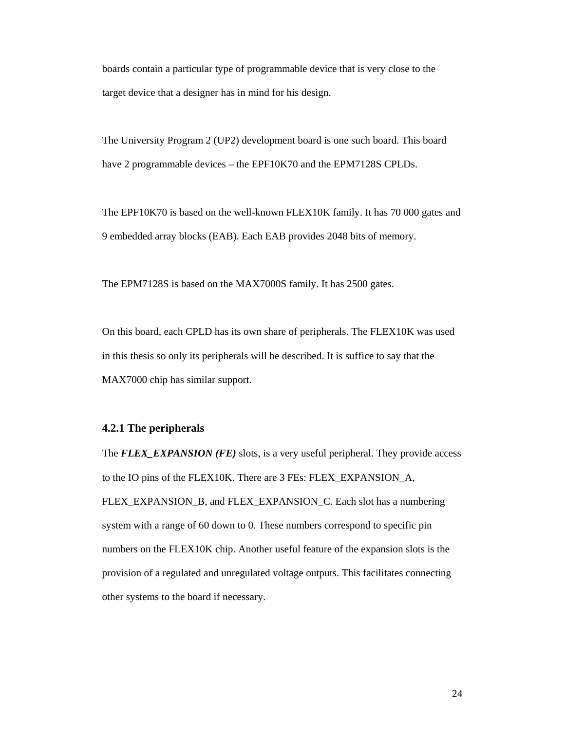boards contain a particular type of programmable device that is very close to the target device that a designer has in mind for his design.

The University Program 2 (UP2) development board is one such board. This board have 2 programmable devices – the EPF10K70 and the EPM7128S CPLDs.

The EPF10K70 is based on the well-known FLEX10K family. It has 70 000 gates and 9 embedded array blocks (EAB). Each EAB provides 2048 bits of memory.

The EPM7128S is based on the MAX7000S family. It has 2500 gates.

On this board, each CPLD has its own share of peripherals. The FLEX10K was used in this thesis so only its peripherals will be described. It is suffice to say that the MAX7000 chip has similar support.

### **4.2.1 The peripherals**

The *FLEX\_EXPANSION (FE)* slots, is a very useful peripheral. They provide access to the IO pins of the FLEX10K. There are 3 FEs: FLEX\_EXPANSION\_A, FLEX\_EXPANSION\_B, and FLEX\_EXPANSION\_C. Each slot has a numbering system with a range of 60 down to 0. These numbers correspond to specific pin numbers on the FLEX10K chip. Another useful feature of the expansion slots is the provision of a regulated and unregulated voltage outputs. This facilitates connecting other systems to the board if necessary.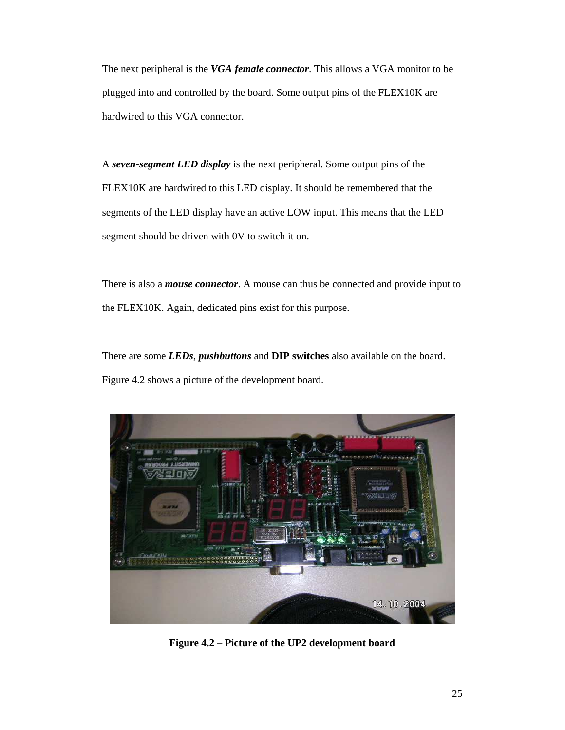The next peripheral is the *VGA female connector*. This allows a VGA monitor to be plugged into and controlled by the board. Some output pins of the FLEX10K are hardwired to this VGA connector.

A *seven-segment LED display* is the next peripheral. Some output pins of the FLEX10K are hardwired to this LED display. It should be remembered that the segments of the LED display have an active LOW input. This means that the LED segment should be driven with 0V to switch it on.

There is also a *mouse connector*. A mouse can thus be connected and provide input to the FLEX10K. Again, dedicated pins exist for this purpose.

There are some *LEDs*, *pushbuttons* and **DIP switches** also available on the board. Figure 4.2 shows a picture of the development board.



**Figure 4.2 – Picture of the UP2 development board**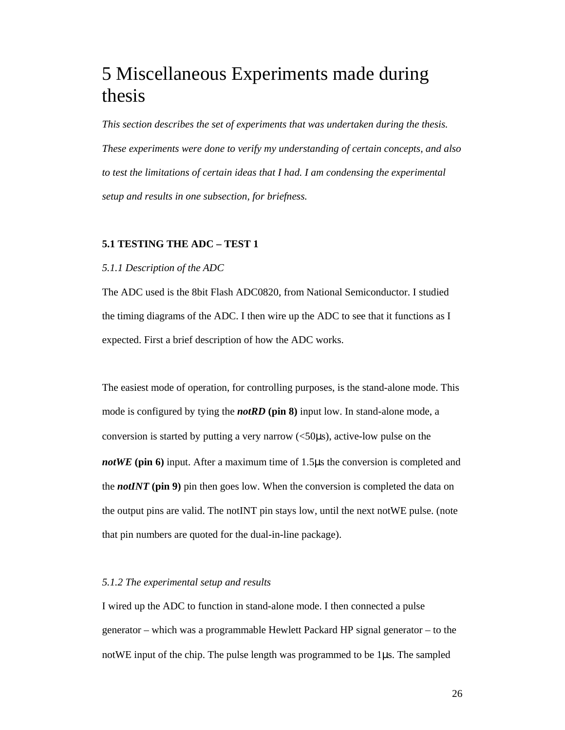## 5 Miscellaneous Experiments made during thesis

*This section describes the set of experiments that was undertaken during the thesis. These experiments were done to verify my understanding of certain concepts, and also to test the limitations of certain ideas that I had. I am condensing the experimental setup and results in one subsection, for briefness.*

## **5.1 TESTING THE ADC – TEST 1**

### *5.1.1 Description of the ADC*

The ADC used is the 8bit Flash ADC0820, from National Semiconductor. I studied the timing diagrams of the ADC. I then wire up the ADC to see that it functions as I expected. First a brief description of how the ADC works.

The easiest mode of operation, for controlling purposes, is the stand-alone mode. This mode is configured by tying the *notRD* **(pin 8)** input low. In stand-alone mode, a conversion is started by putting a very narrow (<50µs), active-low pulse on the *notWE* (pin 6) input. After a maximum time of 1.5µs the conversion is completed and the *notINT* **(pin 9)** pin then goes low. When the conversion is completed the data on the output pins are valid. The notINT pin stays low, until the next notWE pulse. (note that pin numbers are quoted for the dual-in-line package).

### *5.1.2 The experimental setup and results*

I wired up the ADC to function in stand-alone mode. I then connected a pulse generator – which was a programmable Hewlett Packard HP signal generator – to the notWE input of the chip. The pulse length was programmed to be 1µs. The sampled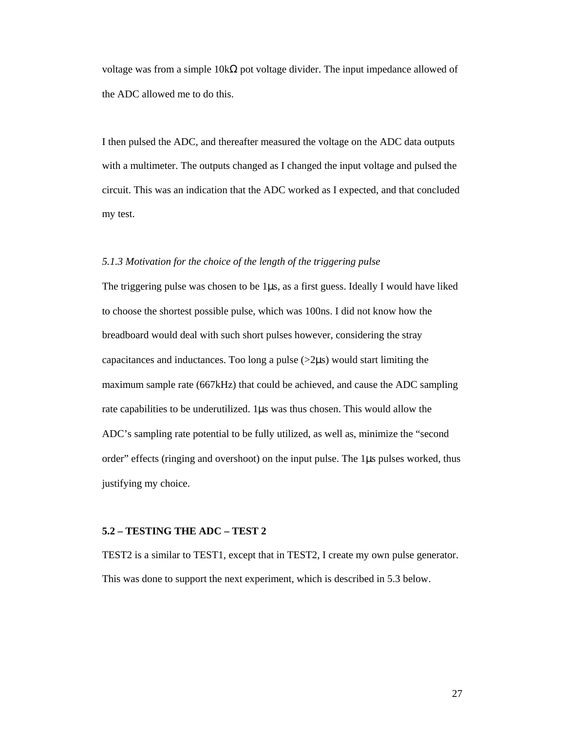voltage was from a simple  $10kΩ$  pot voltage divider. The input impedance allowed of the ADC allowed me to do this.

I then pulsed the ADC, and thereafter measured the voltage on the ADC data outputs with a multimeter. The outputs changed as I changed the input voltage and pulsed the circuit. This was an indication that the ADC worked as I expected, and that concluded my test.

#### *5.1.3 Motivation for the choice of the length of the triggering pulse*

The triggering pulse was chosen to be  $1\mu s$ , as a first guess. Ideally I would have liked to choose the shortest possible pulse, which was 100ns. I did not know how the breadboard would deal with such short pulses however, considering the stray capacitances and inductances. Too long a pulse  $(>2\mu s)$  would start limiting the maximum sample rate (667kHz) that could be achieved, and cause the ADC sampling rate capabilities to be underutilized. 1µs was thus chosen. This would allow the ADC's sampling rate potential to be fully utilized, as well as, minimize the "second order" effects (ringing and overshoot) on the input pulse. The 1µs pulses worked, thus justifying my choice.

#### **5.2 – TESTING THE ADC – TEST 2**

TEST2 is a similar to TEST1, except that in TEST2, I create my own pulse generator. This was done to support the next experiment, which is described in 5.3 below.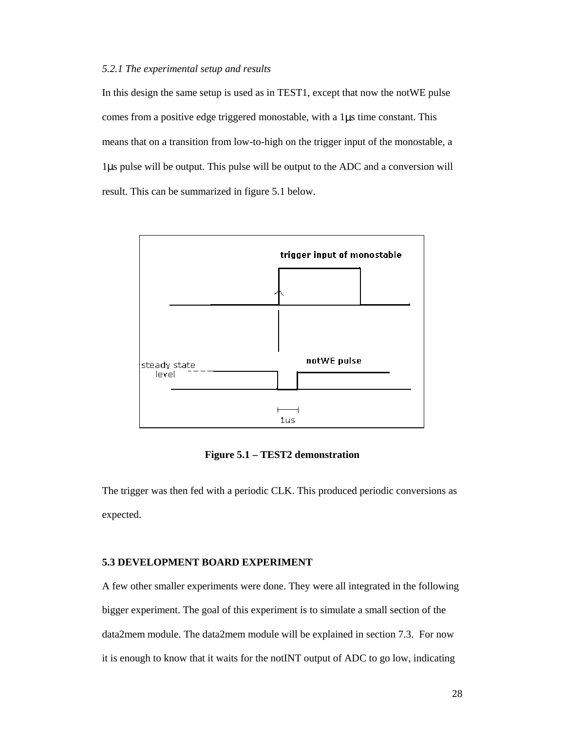#### *5.2.1 The experimental setup and results*

In this design the same setup is used as in TEST1, except that now the notWE pulse comes from a positive edge triggered monostable, with a 1µs time constant. This means that on a transition from low-to-high on the trigger input of the monostable, a 1µs pulse will be output. This pulse will be output to the ADC and a conversion will result. This can be summarized in figure 5.1 below.



**Figure 5.1 – TEST2 demonstration** 

The trigger was then fed with a periodic CLK. This produced periodic conversions as expected.

#### **5.3 DEVELOPMENT BOARD EXPERIMENT**

A few other smaller experiments were done. They were all integrated in the following bigger experiment. The goal of this experiment is to simulate a small section of the data2mem module. The data2mem module will be explained in section 7.3. For now it is enough to know that it waits for the notINT output of ADC to go low, indicating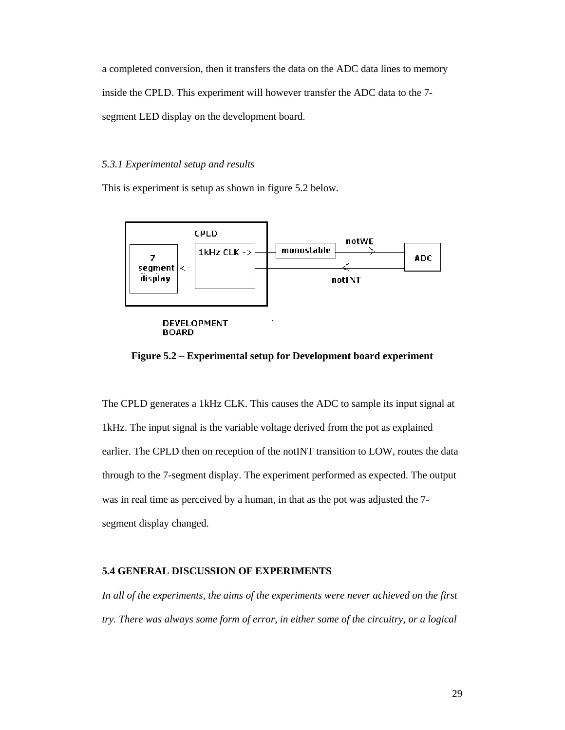a completed conversion, then it transfers the data on the ADC data lines to memory inside the CPLD. This experiment will however transfer the ADC data to the 7 segment LED display on the development board.

#### *5.3.1 Experimental setup and results*

This is experiment is setup as shown in figure 5.2 below.



## **Figure 5.2 – Experimental setup for Development board experiment**

The CPLD generates a 1kHz CLK. This causes the ADC to sample its input signal at 1kHz. The input signal is the variable voltage derived from the pot as explained earlier. The CPLD then on reception of the notINT transition to LOW, routes the data through to the 7-segment display. The experiment performed as expected. The output was in real time as perceived by a human, in that as the pot was adjusted the 7 segment display changed.

#### **5.4 GENERAL DISCUSSION OF EXPERIMENTS**

*In all of the experiments, the aims of the experiments were never achieved on the first try. There was always some form of error, in either some of the circuitry, or a logical*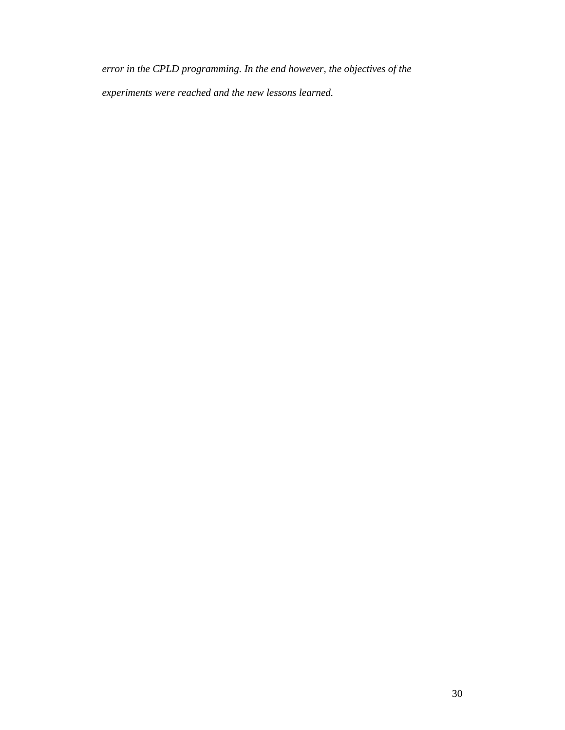*error in the CPLD programming. In the end however, the objectives of the experiments were reached and the new lessons learned.*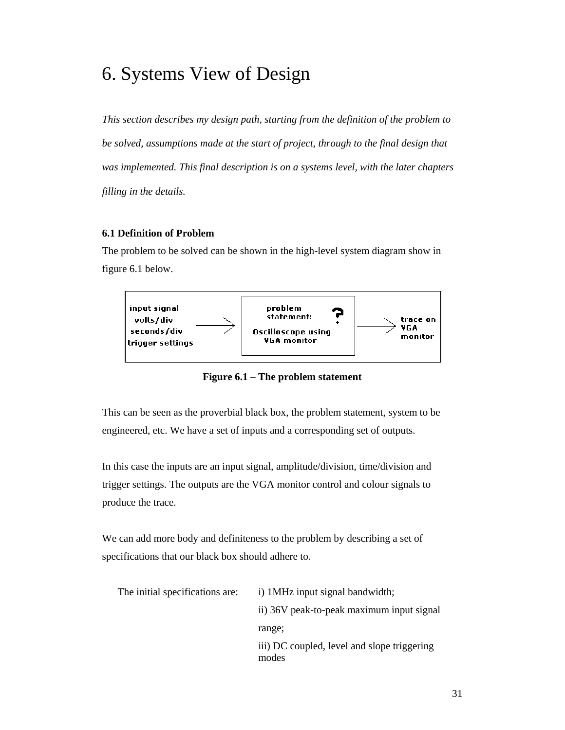## 6. Systems View of Design

*This section describes my design path, starting from the definition of the problem to be solved, assumptions made at the start of project, through to the final design that was implemented. This final description is on a systems level, with the later chapters filling in the details.* 

## **6.1 Definition of Problem**

The problem to be solved can be shown in the high-level system diagram show in figure 6.1 below.



**Figure 6.1 – The problem statement** 

This can be seen as the proverbial black box, the problem statement, system to be engineered, etc. We have a set of inputs and a corresponding set of outputs.

In this case the inputs are an input signal, amplitude/division, time/division and trigger settings. The outputs are the VGA monitor control and colour signals to produce the trace.

We can add more body and definiteness to the problem by describing a set of specifications that our black box should adhere to.

| The initial specifications are: | i) 1 MHz input signal bandwidth;                     |
|---------------------------------|------------------------------------------------------|
|                                 | ii) 36V peak-to-peak maximum input signal            |
|                                 | range;                                               |
|                                 | iii) DC coupled, level and slope triggering<br>modes |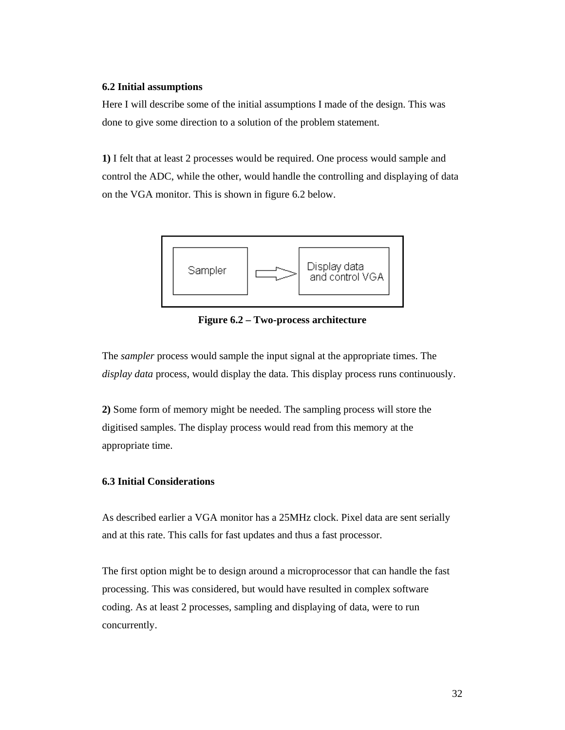#### **6.2 Initial assumptions**

Here I will describe some of the initial assumptions I made of the design. This was done to give some direction to a solution of the problem statement.

**1)** I felt that at least 2 processes would be required. One process would sample and control the ADC, while the other, would handle the controlling and displaying of data on the VGA monitor. This is shown in figure 6.2 below.



**Figure 6.2 – Two-process architecture** 

The *sampler* process would sample the input signal at the appropriate times. The *display data* process, would display the data. This display process runs continuously.

**2)** Some form of memory might be needed. The sampling process will store the digitised samples. The display process would read from this memory at the appropriate time.

## **6.3 Initial Considerations**

As described earlier a VGA monitor has a 25MHz clock. Pixel data are sent serially and at this rate. This calls for fast updates and thus a fast processor.

The first option might be to design around a microprocessor that can handle the fast processing. This was considered, but would have resulted in complex software coding. As at least 2 processes, sampling and displaying of data, were to run concurrently.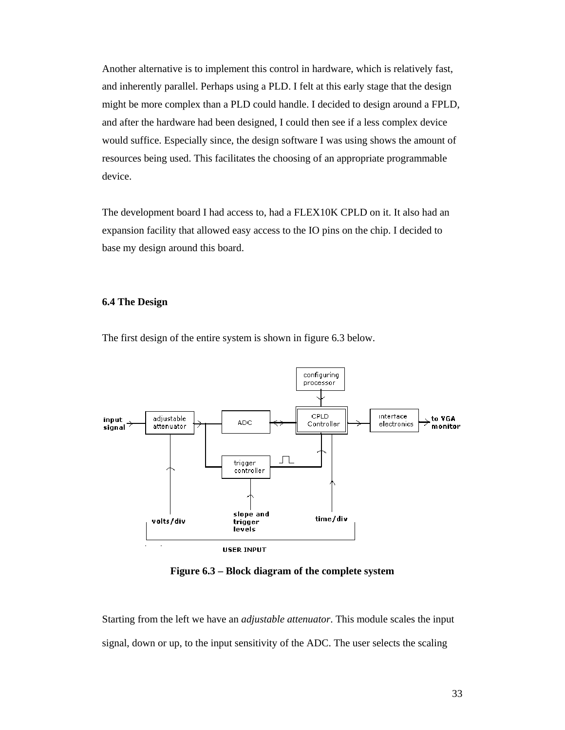Another alternative is to implement this control in hardware, which is relatively fast, and inherently parallel. Perhaps using a PLD. I felt at this early stage that the design might be more complex than a PLD could handle. I decided to design around a FPLD, and after the hardware had been designed, I could then see if a less complex device would suffice. Especially since, the design software I was using shows the amount of resources being used. This facilitates the choosing of an appropriate programmable device.

The development board I had access to, had a FLEX10K CPLD on it. It also had an expansion facility that allowed easy access to the IO pins on the chip. I decided to base my design around this board.

#### **6.4 The Design**

The first design of the entire system is shown in figure 6.3 below.



**Figure 6.3 – Block diagram of the complete system** 

Starting from the left we have an *adjustable attenuator*. This module scales the input signal, down or up, to the input sensitivity of the ADC. The user selects the scaling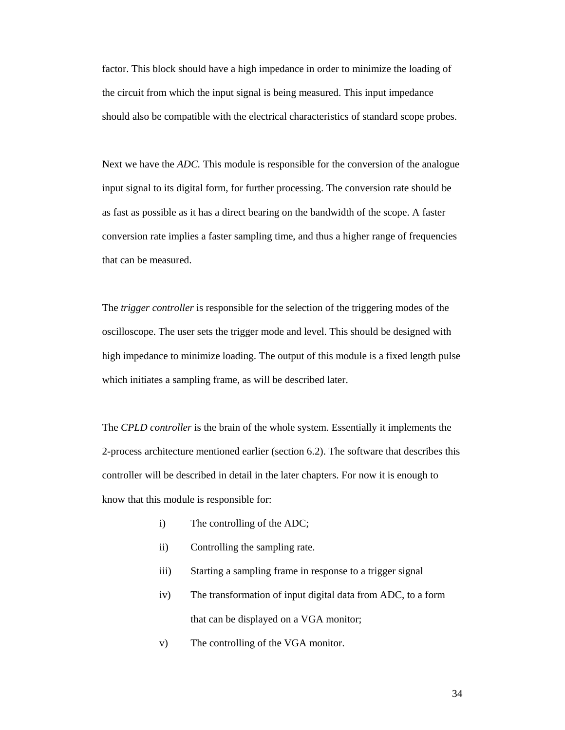factor. This block should have a high impedance in order to minimize the loading of the circuit from which the input signal is being measured. This input impedance should also be compatible with the electrical characteristics of standard scope probes.

Next we have the *ADC.* This module is responsible for the conversion of the analogue input signal to its digital form, for further processing. The conversion rate should be as fast as possible as it has a direct bearing on the bandwidth of the scope. A faster conversion rate implies a faster sampling time, and thus a higher range of frequencies that can be measured.

The *trigger controller* is responsible for the selection of the triggering modes of the oscilloscope. The user sets the trigger mode and level. This should be designed with high impedance to minimize loading. The output of this module is a fixed length pulse which initiates a sampling frame, as will be described later.

The *CPLD controller* is the brain of the whole system. Essentially it implements the 2-process architecture mentioned earlier (section 6.2). The software that describes this controller will be described in detail in the later chapters. For now it is enough to know that this module is responsible for:

- i) The controlling of the ADC;
- ii) Controlling the sampling rate.
- iii) Starting a sampling frame in response to a trigger signal
- iv) The transformation of input digital data from ADC, to a form that can be displayed on a VGA monitor;
- v) The controlling of the VGA monitor.

34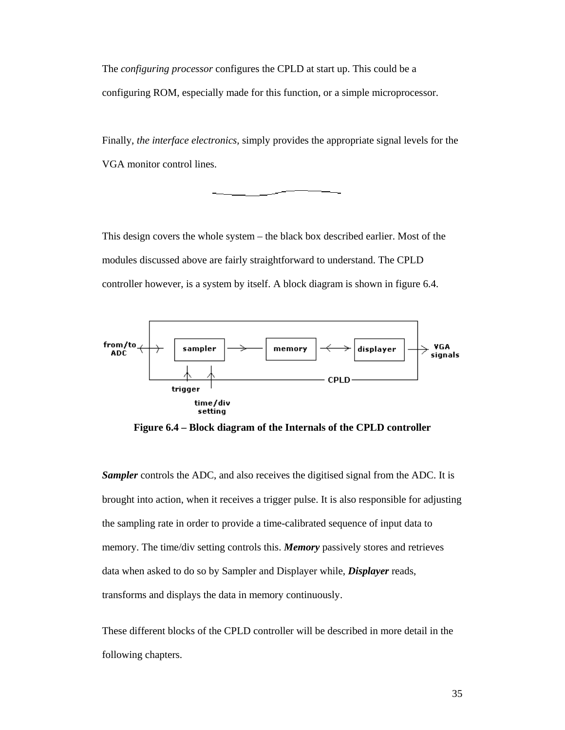The *configuring processor* configures the CPLD at start up. This could be a configuring ROM, especially made for this function, or a simple microprocessor.

Finally, *the interface electronics,* simply provides the appropriate signal levels for the VGA monitor control lines.

This design covers the whole system – the black box described earlier. Most of the modules discussed above are fairly straightforward to understand. The CPLD controller however, is a system by itself. A block diagram is shown in figure 6.4.



**Figure 6.4 – Block diagram of the Internals of the CPLD controller** 

*Sampler* controls the ADC, and also receives the digitised signal from the ADC. It is brought into action, when it receives a trigger pulse. It is also responsible for adjusting the sampling rate in order to provide a time-calibrated sequence of input data to memory. The time/div setting controls this. *Memory* passively stores and retrieves data when asked to do so by Sampler and Displayer while, *Displayer* reads, transforms and displays the data in memory continuously.

These different blocks of the CPLD controller will be described in more detail in the following chapters.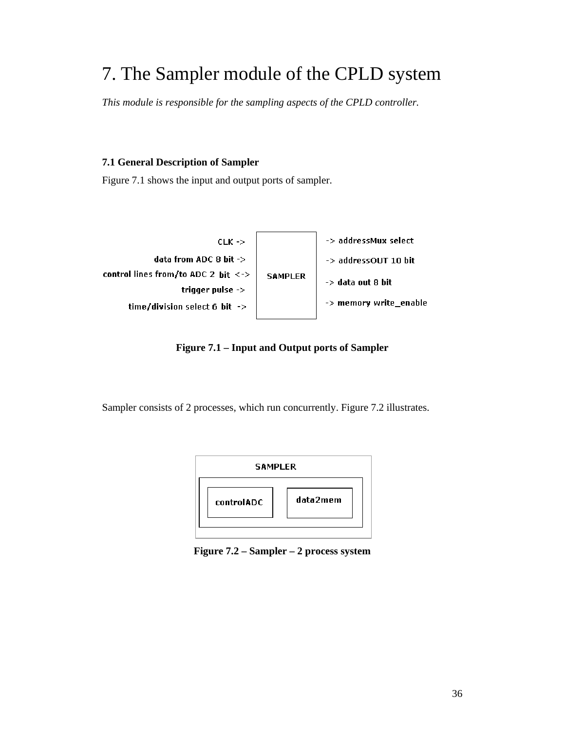## 7. The Sampler module of the CPLD system

*This module is responsible for the sampling aspects of the CPLD controller.* 

## **7.1 General Description of Sampler**

Figure 7.1 shows the input and output ports of sampler.



**Figure 7.1 – Input and Output ports of Sampler** 

Sampler consists of 2 processes, which run concurrently. Figure 7.2 illustrates.



**Figure 7.2 – Sampler – 2 process system**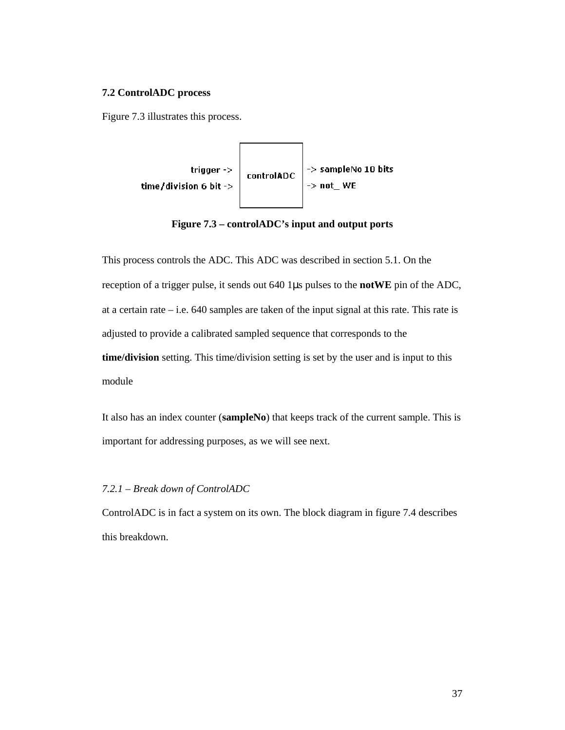## **7.2 ControlADC process**

Figure 7.3 illustrates this process.



**Figure 7.3 – controlADC's input and output ports** 

This process controls the ADC. This ADC was described in section 5.1. On the reception of a trigger pulse, it sends out 640 1µs pulses to the **notWE** pin of the ADC, at a certain rate  $-$  i.e. 640 samples are taken of the input signal at this rate. This rate is adjusted to provide a calibrated sampled sequence that corresponds to the **time/division** setting. This time/division setting is set by the user and is input to this module

It also has an index counter (**sampleNo**) that keeps track of the current sample. This is important for addressing purposes, as we will see next.

### *7.2.1 – Break down of ControlADC*

ControlADC is in fact a system on its own. The block diagram in figure 7.4 describes this breakdown.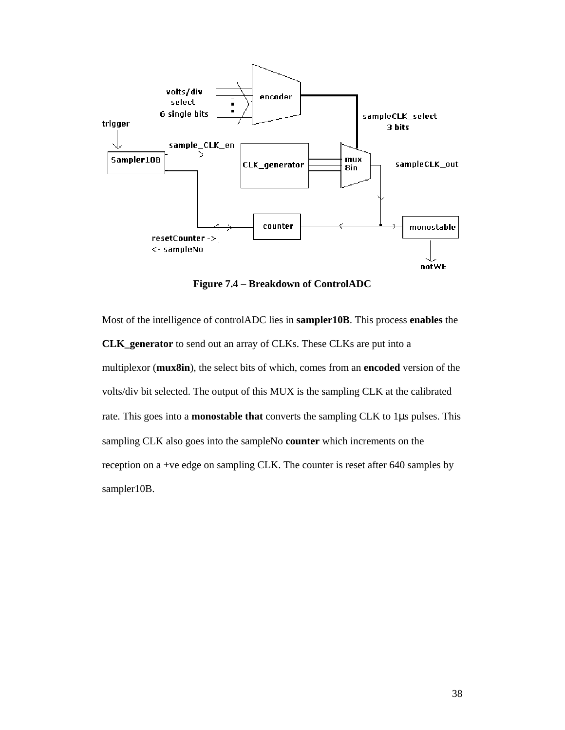

**Figure 7.4 – Breakdown of ControlADC** 

Most of the intelligence of controlADC lies in **sampler10B**. This process **enables** the **CLK\_generator** to send out an array of CLKs. These CLKs are put into a multiplexor (**mux8in**), the select bits of which, comes from an **encoded** version of the volts/div bit selected. The output of this MUX is the sampling CLK at the calibrated rate. This goes into a **monostable that** converts the sampling CLK to 1µs pulses. This sampling CLK also goes into the sampleNo **counter** which increments on the reception on a +ve edge on sampling CLK. The counter is reset after 640 samples by sampler10B.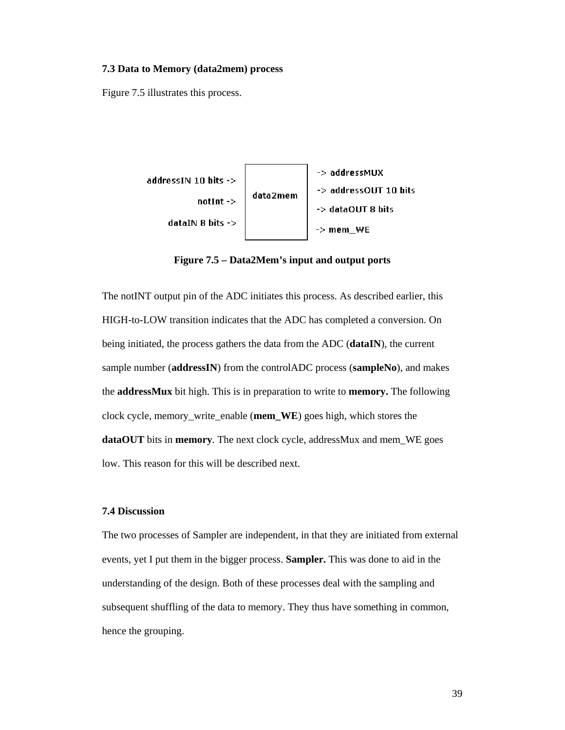#### **7.3 Data to Memory (data2mem) process**

Figure 7.5 illustrates this process.



**Figure 7.5 – Data2Mem's input and output ports** 

The notINT output pin of the ADC initiates this process. As described earlier, this HIGH-to-LOW transition indicates that the ADC has completed a conversion. On being initiated, the process gathers the data from the ADC (**dataIN**), the current sample number (**addressIN**) from the controlADC process (**sampleNo**), and makes the **addressMux** bit high. This is in preparation to write to **memory.** The following clock cycle, memory\_write\_enable (**mem\_WE**) goes high, which stores the **dataOUT** bits in **memory**. The next clock cycle, addressMux and mem\_WE goes low. This reason for this will be described next.

## **7.4 Discussion**

The two processes of Sampler are independent, in that they are initiated from external events, yet I put them in the bigger process. **Sampler.** This was done to aid in the understanding of the design. Both of these processes deal with the sampling and subsequent shuffling of the data to memory. They thus have something in common, hence the grouping.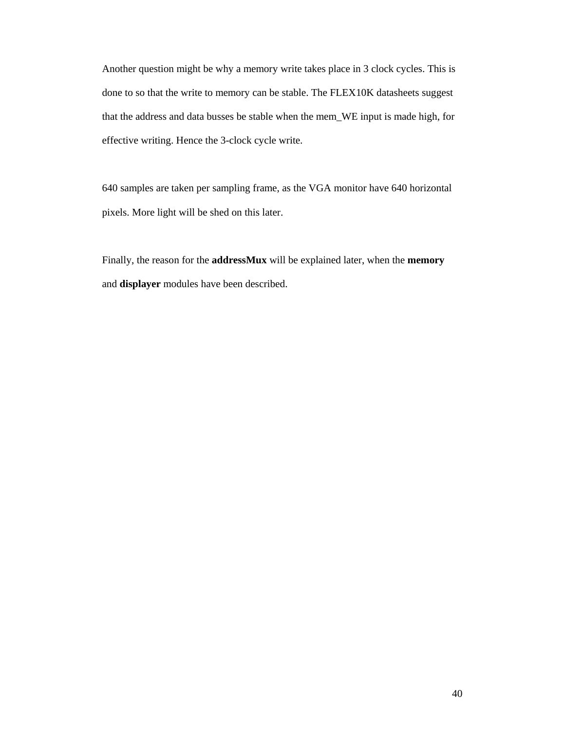Another question might be why a memory write takes place in 3 clock cycles. This is done to so that the write to memory can be stable. The FLEX10K datasheets suggest that the address and data busses be stable when the mem\_WE input is made high, for effective writing. Hence the 3-clock cycle write.

640 samples are taken per sampling frame, as the VGA monitor have 640 horizontal pixels. More light will be shed on this later.

Finally, the reason for the **addressMux** will be explained later, when the **memory**  and **displayer** modules have been described.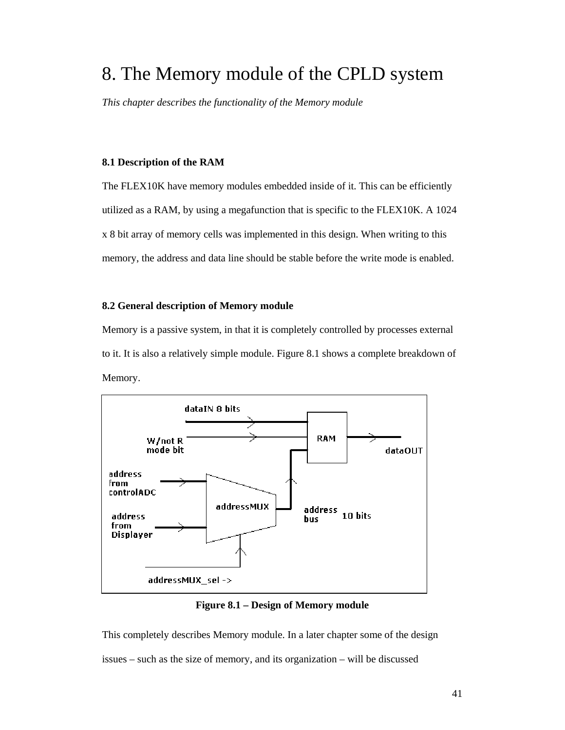## 8. The Memory module of the CPLD system

*This chapter describes the functionality of the Memory module* 

## **8.1 Description of the RAM**

The FLEX10K have memory modules embedded inside of it. This can be efficiently utilized as a RAM, by using a megafunction that is specific to the FLEX10K. A 1024 x 8 bit array of memory cells was implemented in this design. When writing to this memory, the address and data line should be stable before the write mode is enabled.

#### **8.2 General description of Memory module**

Memory is a passive system, in that it is completely controlled by processes external to it. It is also a relatively simple module. Figure 8.1 shows a complete breakdown of Memory.



**Figure 8.1 – Design of Memory module** 

This completely describes Memory module. In a later chapter some of the design issues – such as the size of memory, and its organization – will be discussed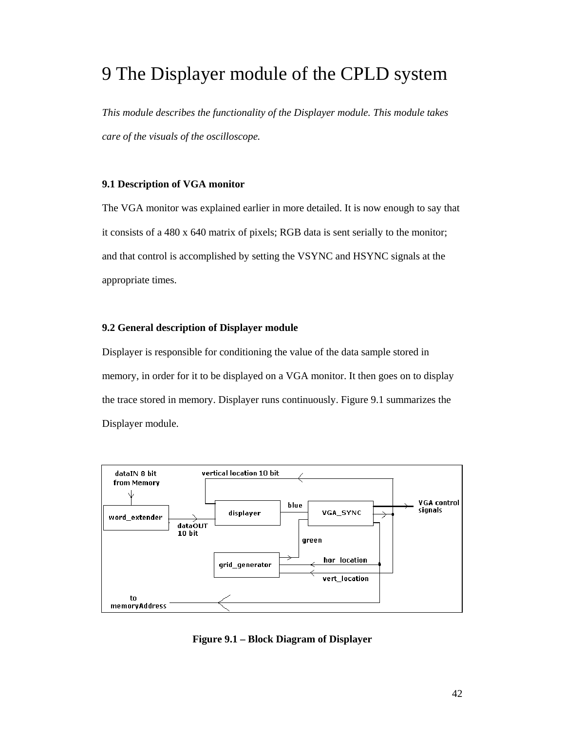## 9 The Displayer module of the CPLD system

*This module describes the functionality of the Displayer module. This module takes care of the visuals of the oscilloscope.* 

### **9.1 Description of VGA monitor**

The VGA monitor was explained earlier in more detailed. It is now enough to say that it consists of a 480 x 640 matrix of pixels; RGB data is sent serially to the monitor; and that control is accomplished by setting the VSYNC and HSYNC signals at the appropriate times.

### **9.2 General description of Displayer module**

Displayer is responsible for conditioning the value of the data sample stored in memory, in order for it to be displayed on a VGA monitor. It then goes on to display the trace stored in memory. Displayer runs continuously. Figure 9.1 summarizes the Displayer module.



**Figure 9.1 – Block Diagram of Displayer**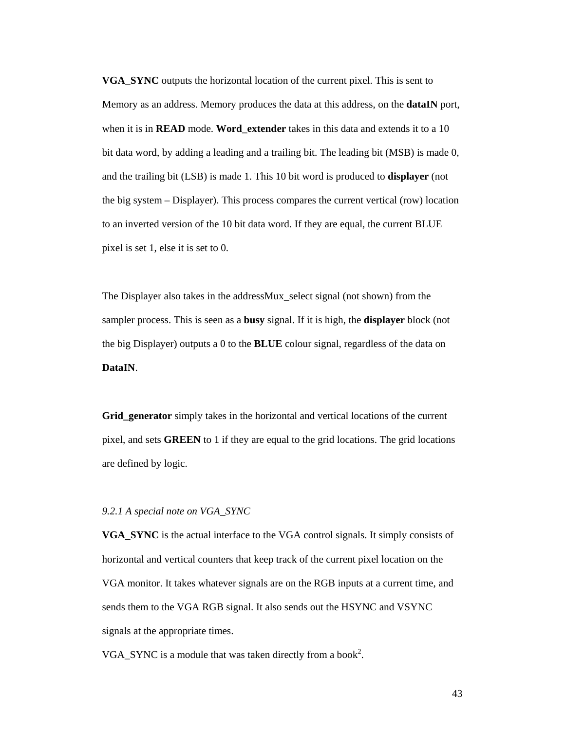**VGA\_SYNC** outputs the horizontal location of the current pixel. This is sent to Memory as an address. Memory produces the data at this address, on the **dataIN** port, when it is in **READ** mode. **Word\_extender** takes in this data and extends it to a 10 bit data word, by adding a leading and a trailing bit. The leading bit (MSB) is made 0, and the trailing bit (LSB) is made 1. This 10 bit word is produced to **displayer** (not the big system – Displayer). This process compares the current vertical (row) location to an inverted version of the 10 bit data word. If they are equal, the current BLUE pixel is set 1, else it is set to 0.

The Displayer also takes in the addressMux\_select signal (not shown) from the sampler process. This is seen as a **busy** signal. If it is high, the **displayer** block (not the big Displayer) outputs a 0 to the **BLUE** colour signal, regardless of the data on **DataIN**.

**Grid\_generator** simply takes in the horizontal and vertical locations of the current pixel, and sets **GREEN** to 1 if they are equal to the grid locations. The grid locations are defined by logic.

### *9.2.1 A special note on VGA\_SYNC*

**VGA\_SYNC** is the actual interface to the VGA control signals. It simply consists of horizontal and vertical counters that keep track of the current pixel location on the VGA monitor. It takes whatever signals are on the RGB inputs at a current time, and sends them to the VGA RGB signal. It also sends out the HSYNC and VSYNC signals at the appropriate times.

VGA\_SYNC is a module that was taken directly from a book<sup>2</sup>.

43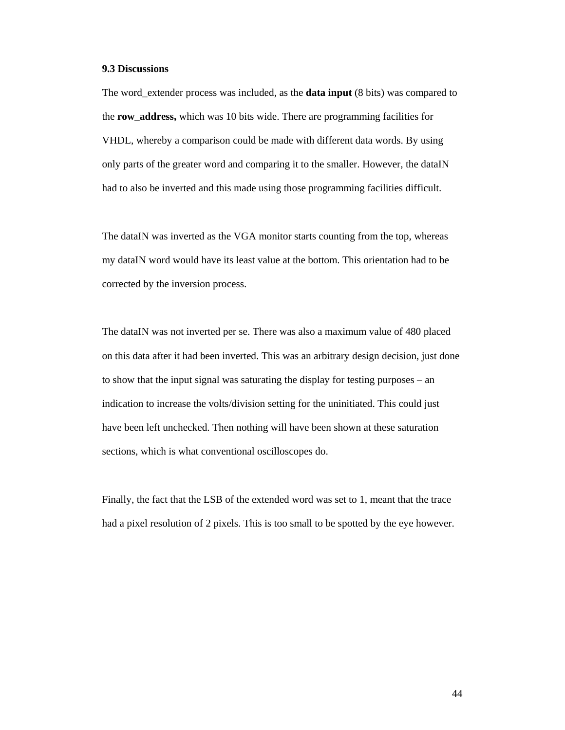### **9.3 Discussions**

The word\_extender process was included, as the **data input** (8 bits) was compared to the **row\_address,** which was 10 bits wide. There are programming facilities for VHDL, whereby a comparison could be made with different data words. By using only parts of the greater word and comparing it to the smaller. However, the dataIN had to also be inverted and this made using those programming facilities difficult.

The dataIN was inverted as the VGA monitor starts counting from the top, whereas my dataIN word would have its least value at the bottom. This orientation had to be corrected by the inversion process.

The dataIN was not inverted per se. There was also a maximum value of 480 placed on this data after it had been inverted. This was an arbitrary design decision, just done to show that the input signal was saturating the display for testing purposes – an indication to increase the volts/division setting for the uninitiated. This could just have been left unchecked. Then nothing will have been shown at these saturation sections, which is what conventional oscilloscopes do.

Finally, the fact that the LSB of the extended word was set to 1, meant that the trace had a pixel resolution of 2 pixels. This is too small to be spotted by the eye however.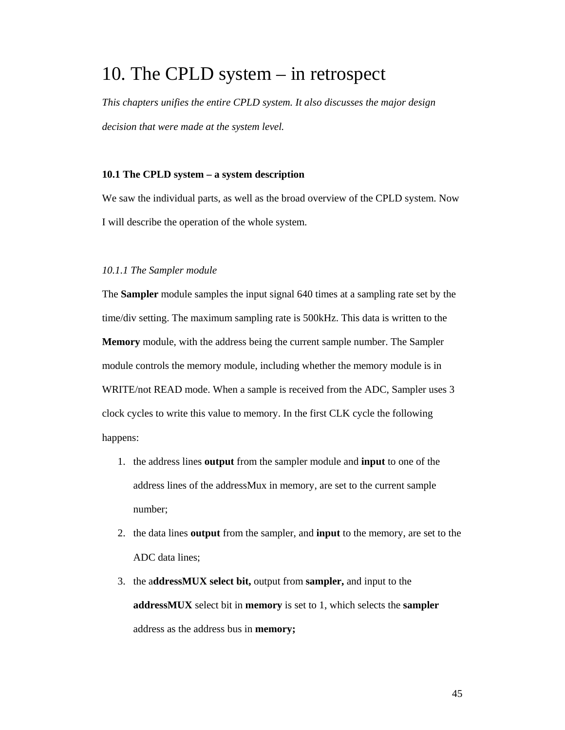## 10. The CPLD system – in retrospect

*This chapters unifies the entire CPLD system. It also discusses the major design decision that were made at the system level.*

### **10.1 The CPLD system – a system description**

We saw the individual parts, as well as the broad overview of the CPLD system. Now I will describe the operation of the whole system.

### *10.1.1 The Sampler module*

The **Sampler** module samples the input signal 640 times at a sampling rate set by the time/div setting. The maximum sampling rate is 500kHz. This data is written to the **Memory** module, with the address being the current sample number. The Sampler module controls the memory module, including whether the memory module is in WRITE/not READ mode. When a sample is received from the ADC, Sampler uses 3 clock cycles to write this value to memory. In the first CLK cycle the following happens:

- 1. the address lines **output** from the sampler module and **input** to one of the address lines of the addressMux in memory, are set to the current sample number;
- 2. the data lines **output** from the sampler, and **input** to the memory, are set to the ADC data lines;
- 3. the a**ddressMUX select bit,** output from **sampler,** and input to the **addressMUX** select bit in **memory** is set to 1, which selects the **sampler** address as the address bus in **memory;**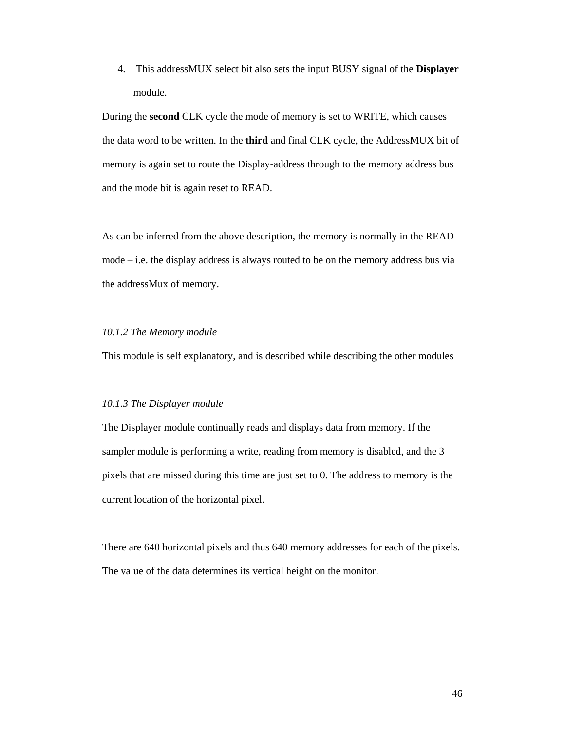4. This addressMUX select bit also sets the input BUSY signal of the **Displayer** module.

During the **second** CLK cycle the mode of memory is set to WRITE, which causes the data word to be written. In the **third** and final CLK cycle, the AddressMUX bit of memory is again set to route the Display-address through to the memory address bus and the mode bit is again reset to READ.

As can be inferred from the above description, the memory is normally in the READ mode  $-$  i.e. the display address is always routed to be on the memory address bus via the addressMux of memory.

### *10.1.2 The Memory module*

This module is self explanatory, and is described while describing the other modules

#### *10.1.3 The Displayer module*

The Displayer module continually reads and displays data from memory. If the sampler module is performing a write, reading from memory is disabled, and the 3 pixels that are missed during this time are just set to 0. The address to memory is the current location of the horizontal pixel.

There are 640 horizontal pixels and thus 640 memory addresses for each of the pixels. The value of the data determines its vertical height on the monitor.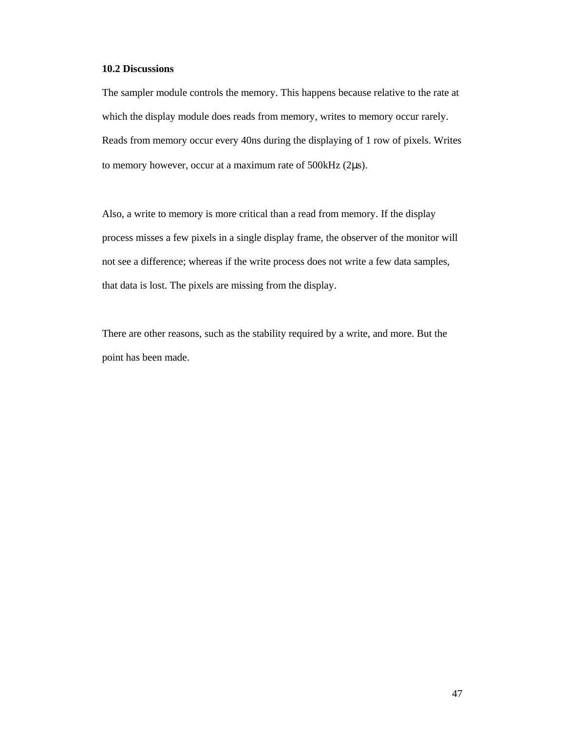## **10.2 Discussions**

The sampler module controls the memory. This happens because relative to the rate at which the display module does reads from memory, writes to memory occur rarely. Reads from memory occur every 40ns during the displaying of 1 row of pixels. Writes to memory however, occur at a maximum rate of 500kHz (2µs).

Also, a write to memory is more critical than a read from memory. If the display process misses a few pixels in a single display frame, the observer of the monitor will not see a difference; whereas if the write process does not write a few data samples, that data is lost. The pixels are missing from the display.

There are other reasons, such as the stability required by a write, and more. But the point has been made.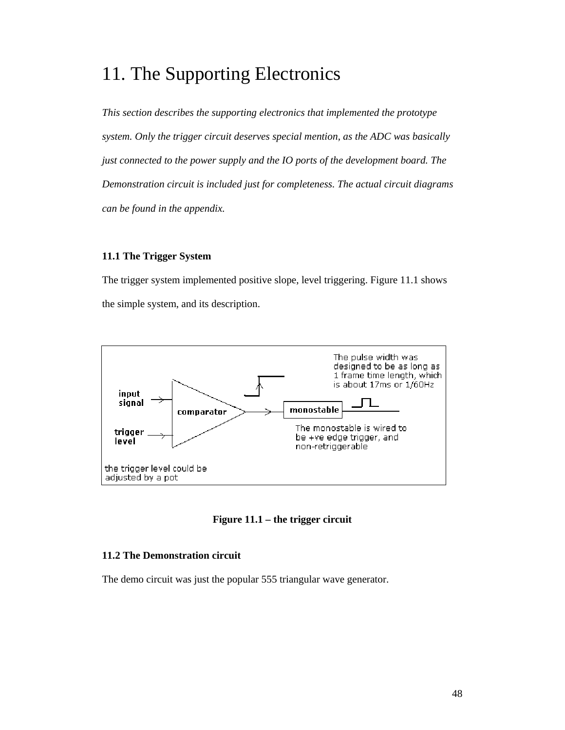## 11. The Supporting Electronics

*This section describes the supporting electronics that implemented the prototype system. Only the trigger circuit deserves special mention, as the ADC was basically just connected to the power supply and the IO ports of the development board. The Demonstration circuit is included just for completeness. The actual circuit diagrams can be found in the appendix.* 

## **11.1 The Trigger System**

The trigger system implemented positive slope, level triggering. Figure 11.1 shows the simple system, and its description.



**Figure 11.1 – the trigger circuit** 

## **11.2 The Demonstration circuit**

The demo circuit was just the popular 555 triangular wave generator.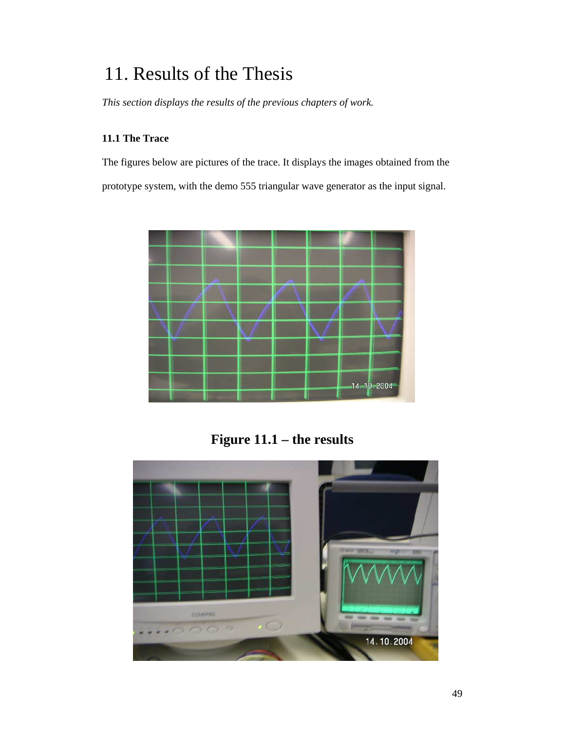## 11. Results of the Thesis

*This section displays the results of the previous chapters of work.* 

## **11.1 The Trace**

The figures below are pictures of the trace. It displays the images obtained from the prototype system, with the demo 555 triangular wave generator as the input signal.



**Figure 11.1 – the results** 

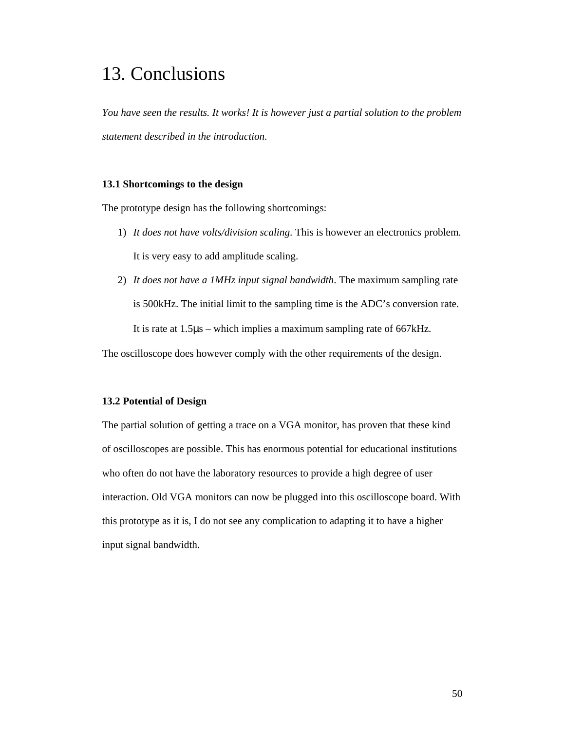## 13. Conclusions

*You have seen the results. It works! It is however just a partial solution to the problem statement described in the introduction.* 

## **13.1 Shortcomings to the design**

The prototype design has the following shortcomings:

- 1) *It does not have volts/division scaling*. This is however an electronics problem. It is very easy to add amplitude scaling.
- 2) *It does not have a 1MHz input signal bandwidth*. The maximum sampling rate is 500kHz. The initial limit to the sampling time is the ADC's conversion rate. It is rate at 1.5µs – which implies a maximum sampling rate of 667kHz.

The oscilloscope does however comply with the other requirements of the design.

#### **13.2 Potential of Design**

The partial solution of getting a trace on a VGA monitor, has proven that these kind of oscilloscopes are possible. This has enormous potential for educational institutions who often do not have the laboratory resources to provide a high degree of user interaction. Old VGA monitors can now be plugged into this oscilloscope board. With this prototype as it is, I do not see any complication to adapting it to have a higher input signal bandwidth.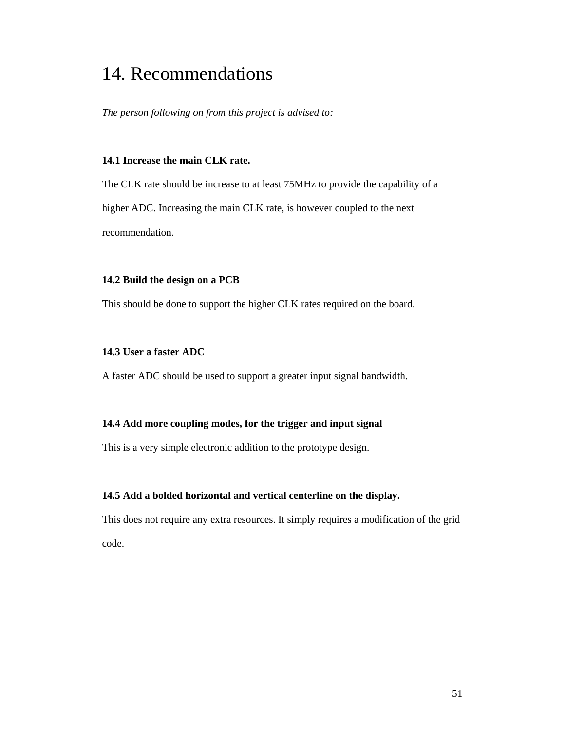## 14. Recommendations

*The person following on from this project is advised to:* 

## **14.1 Increase the main CLK rate.**

The CLK rate should be increase to at least 75MHz to provide the capability of a higher ADC. Increasing the main CLK rate, is however coupled to the next recommendation.

### **14.2 Build the design on a PCB**

This should be done to support the higher CLK rates required on the board.

## **14.3 User a faster ADC**

A faster ADC should be used to support a greater input signal bandwidth.

## **14.4 Add more coupling modes, for the trigger and input signal**

This is a very simple electronic addition to the prototype design.

## **14.5 Add a bolded horizontal and vertical centerline on the display.**

This does not require any extra resources. It simply requires a modification of the grid code.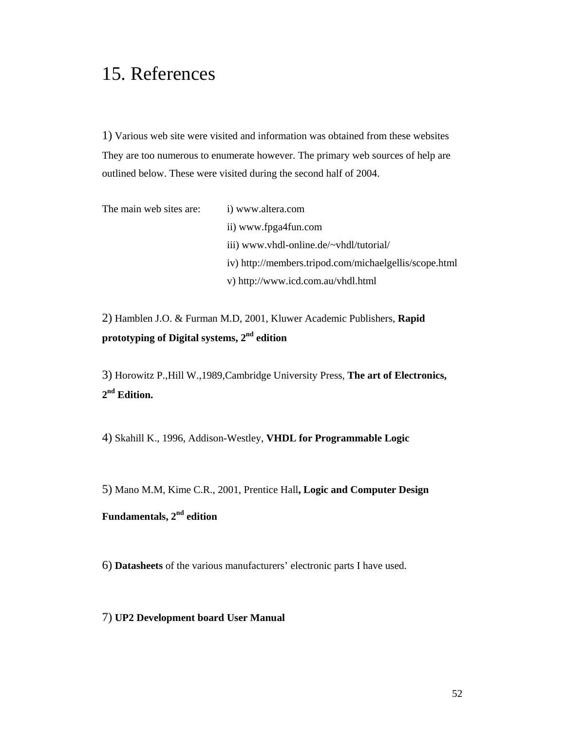## 15. References

1) Various web site were visited and information was obtained from these websites They are too numerous to enumerate however. The primary web sources of help are outlined below. These were visited during the second half of 2004.

| The main web sites are: | i) www.altera.com                                      |
|-------------------------|--------------------------------------------------------|
|                         | ii) www.fpga4fun.com                                   |
|                         | iii) www.vhdl-online.de/~vhdl/tutorial/                |
|                         | iv) http://members.tripod.com/michaelgellis/scope.html |
|                         | v) http://www.icd.com.au/vhdl.html                     |

2) Hamblen J.O. & Furman M.D, 2001, Kluwer Academic Publishers, **Rapid prototyping of Digital systems, 2nd edition** 

3) Horowitz P.,Hill W.,1989,Cambridge University Press, **The art of Electronics, 2 nd Edition.** 

4) Skahill K., 1996, Addison-Westley, **VHDL for Programmable Logic** 

5) Mano M.M, Kime C.R., 2001, Prentice Hall**, Logic and Computer Design Fundamentals, 2nd edition** 

6) **Datasheets** of the various manufacturers' electronic parts I have used.

7) **UP2 Development board User Manual**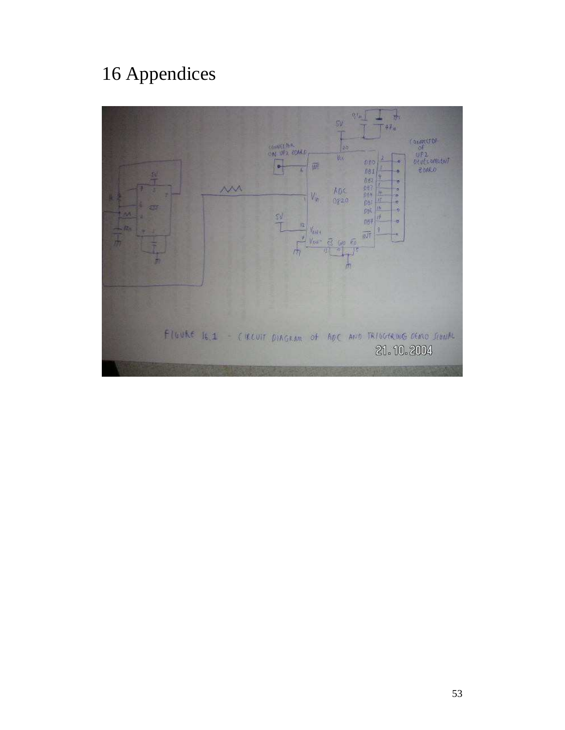# 16 Appendices

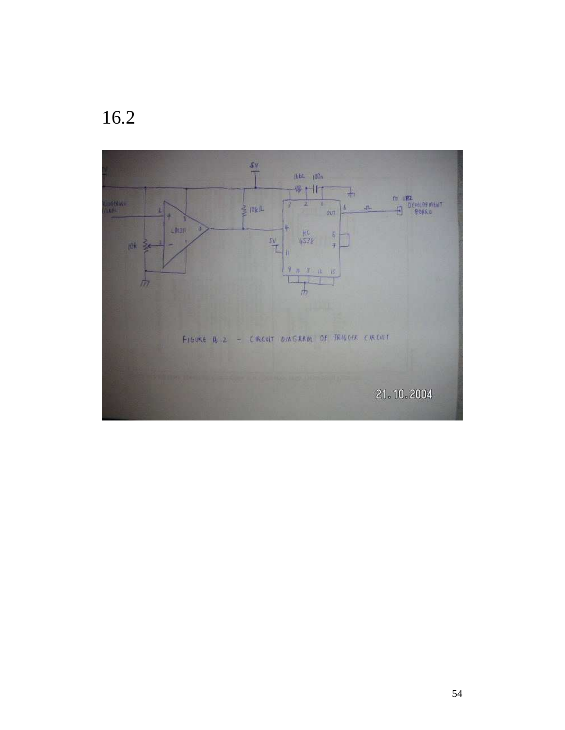

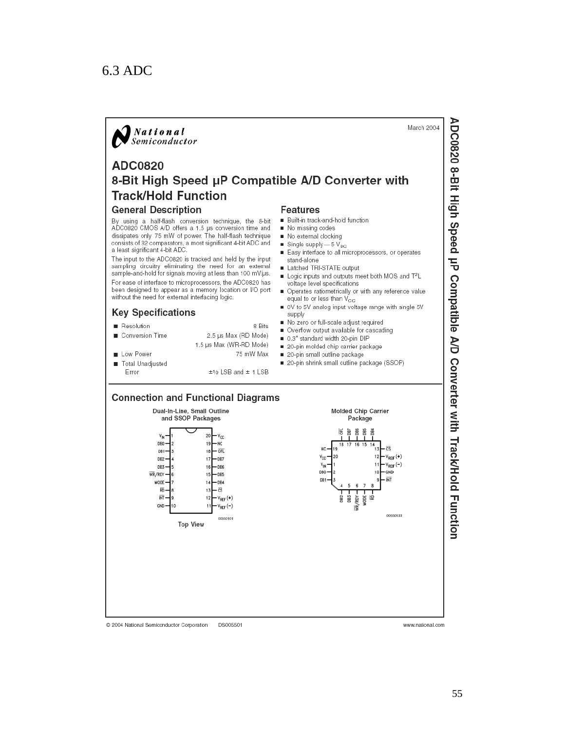## 6.3 ADC



ADC0820 8-Bit High Speed µP Compatible A/D Converter with Track/Hold Function

www.national.com